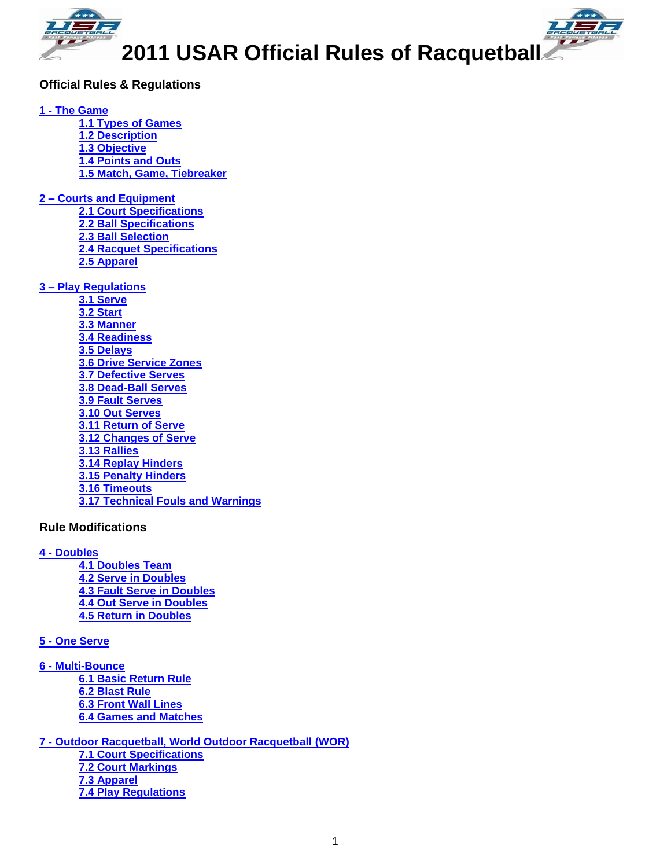

# **Official Rules & Regulations**

<span id="page-0-3"></span><span id="page-0-2"></span><span id="page-0-1"></span><span id="page-0-0"></span>**1 - The [Game](#page-3-0) [1.1 Types of Games](#page-3-1) [1.2 Description](#page-3-2) [1.3 Objective](#page-3-3) [1.4 Points and Outs](#page-3-4) [1.5 Match, Game, Tiebreaker](#page-3-5)**

<span id="page-0-9"></span><span id="page-0-8"></span><span id="page-0-7"></span><span id="page-0-6"></span><span id="page-0-5"></span><span id="page-0-4"></span>**2 – [Courts and Equipment](#page-4-0) [2.1 Court Specifications](#page-4-1) [2.2 Ball Specifications](#page-6-0) [2.3 Ball Selection](#page-6-1) [2.4 Racquet Specifications](#page-6-2) [2.5 Apparel](#page-7-0)**

<span id="page-0-17"></span><span id="page-0-16"></span><span id="page-0-15"></span><span id="page-0-14"></span><span id="page-0-13"></span><span id="page-0-12"></span><span id="page-0-11"></span><span id="page-0-10"></span>**3 – [Play Regulations](#page-8-0)**

<span id="page-0-21"></span><span id="page-0-20"></span><span id="page-0-19"></span><span id="page-0-18"></span>**[3.1 Serve](#page-8-1) [3.2 Start](#page-8-2) [3.3 Manner](#page-8-3) [3.4 Readiness](#page-8-4) [3.5 Delays](#page-8-5) [3.6 Drive Service Zones](#page-9-0) [3.7 Defective Serves](#page-9-1) [3.8 Dead-Ball Serves](#page-9-2) [3.9 Fault Serves](#page-10-0) [3.10 Out Serves](#page-11-0) [3.11 Return of Serve](#page-12-0) [3.12 Changes of Serve](#page-12-1) [3.13 Rallies](#page-13-0) [3.14 Replay Hinders](#page-14-0) [3.15 Penalty Hinders](#page-15-0) [3.16 Timeouts](#page-16-0) [3.17 Technical Fouls and Warnings](#page-17-0)**

# <span id="page-0-29"></span><span id="page-0-28"></span><span id="page-0-27"></span><span id="page-0-26"></span><span id="page-0-25"></span><span id="page-0-24"></span><span id="page-0-23"></span><span id="page-0-22"></span>**Rule Modifications**

# <span id="page-0-33"></span><span id="page-0-32"></span><span id="page-0-31"></span><span id="page-0-30"></span>**4 - [Doubles](#page-18-0)**

**[4.1 Doubles Team](#page-18-1) [4.2 Serve in Doubles](#page-18-2) [4.3 Fault Serve in Doubles](#page-18-3) [4.4 Out Serve in Doubles](#page-18-4) [4.5 Return in Doubles](#page-18-5)**

# <span id="page-0-36"></span><span id="page-0-35"></span><span id="page-0-34"></span>**5 - [One Serve](#page-19-0)**

<span id="page-0-40"></span><span id="page-0-39"></span><span id="page-0-38"></span><span id="page-0-37"></span>**6 - [Multi-Bounce](#page-19-1) [6.1 Basic Return Rule](#page-19-2) [6.2 Blast Rule](#page-19-3) [6.3 Front Wall Lines](#page-19-4) [6.4 Games and Matches](#page-19-5)**

<span id="page-0-47"></span><span id="page-0-46"></span><span id="page-0-45"></span><span id="page-0-44"></span><span id="page-0-43"></span><span id="page-0-42"></span><span id="page-0-41"></span>**7 - [Outdoor Racquetball, World Outdoor Racquetball \(WOR\)](#page-19-6) [7.1 Court Specifications](#page-20-0) [7.2 Court Markings](#page-20-1) [7.3 Apparel](#page-20-2) [7.4 Play Regulations](#page-20-3)**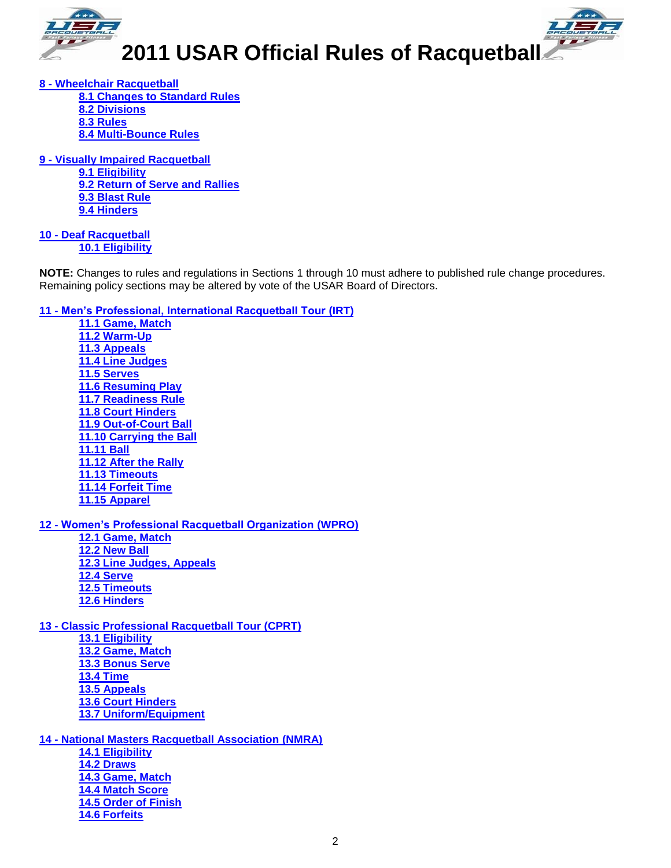

<span id="page-1-2"></span><span id="page-1-1"></span><span id="page-1-0"></span>**8 - [Wheelchair Racquetball](#page-22-0)**

**[8.1 Changes to Standard Rules](#page-22-1) [8.2 Divisions](#page-22-2) [8.3 Rules](#page-22-3) [8.4 Multi-Bounce Rules](#page-23-0)**

<span id="page-1-6"></span><span id="page-1-5"></span><span id="page-1-4"></span><span id="page-1-3"></span>**9 - [Visually Impaired Racquetball](#page-23-1) [9.1 Eligibility](#page-23-2) [9.2 Return of Serve and Rallies](#page-23-3) [9.3 Blast Rule](#page-23-4) [9.4 Hinders](#page-23-5)**

<span id="page-1-10"></span><span id="page-1-9"></span><span id="page-1-8"></span><span id="page-1-7"></span>**10 - [Deaf Racquetball](#page-23-6) [10.1 Eligibility](#page-23-7)**

**NOTE:** Changes to rules and regulations in Sections 1 through 10 must adhere to published rule change procedures. Remaining policy sections may be altered by vote of the USAR Board of Directors.

# <span id="page-1-15"></span><span id="page-1-14"></span><span id="page-1-13"></span><span id="page-1-12"></span><span id="page-1-11"></span>**11 - [Men"s Professional, International Racquetball Tour \(IRT\)](#page-24-0)**

<span id="page-1-19"></span><span id="page-1-18"></span><span id="page-1-17"></span><span id="page-1-16"></span>**[11.1 Game, Match](#page-24-1) [11.2 Warm-Up](#page-24-2) [11.3 Appeals](#page-24-3) [11.4 Line Judges](#page-24-4) [11.5 Serves](#page-24-5) [11.6 Resuming Play](#page-24-6) [11.7 Readiness Rule](#page-24-7) [11.8 Court Hinders](#page-24-8) [11.9 Out-of-Court Ball](#page-24-9) [11.10 Carrying the Ball](#page-24-10) [11.11 Ball](#page-25-0) [11.12 After the Rally](#page-25-1) [11.13 Timeouts](#page-25-2) [11.14 Forfeit Time](#page-25-3) [11.15 Apparel](#page-25-4)**

<span id="page-1-30"></span><span id="page-1-29"></span><span id="page-1-28"></span><span id="page-1-27"></span><span id="page-1-26"></span><span id="page-1-25"></span><span id="page-1-24"></span><span id="page-1-23"></span><span id="page-1-22"></span><span id="page-1-21"></span><span id="page-1-20"></span>**12 - [Women"s Professional Racquetball Organization \(WPRO\)](#page-26-0)**

**[12.1 Game, Match](#page-26-1) [12.2 New Ball](#page-26-2) [12.3 Line Judges, Appeals](#page-26-3) [12.4 Serve](#page-26-4) [12.5 Timeouts](#page-26-5) [12.6 Hinders](#page-26-6)**

<span id="page-1-38"></span><span id="page-1-37"></span><span id="page-1-36"></span><span id="page-1-35"></span><span id="page-1-34"></span><span id="page-1-33"></span><span id="page-1-32"></span><span id="page-1-31"></span>**13 - [Classic Professional Racquetball Tour \(CPRT\)](#page-27-0)**

**[13.1 Eligibility](#page-27-1) [13.2 Game, Match](#page-27-2) [13.3 Bonus Serve](#page-27-3) [13.4 Time](#page-27-4) [13.5 Appeals](#page-27-5) [13.6 Court Hinders](#page-27-6) [13.7 Uniform/Equipment](#page-27-7)**

<span id="page-1-48"></span><span id="page-1-47"></span><span id="page-1-46"></span>**[14.6 Forfeits](#page-28-6)**

<span id="page-1-45"></span><span id="page-1-44"></span><span id="page-1-43"></span><span id="page-1-42"></span><span id="page-1-41"></span><span id="page-1-40"></span><span id="page-1-39"></span>**14 - [National Masters Racquetball Association \(NMRA\)](#page-28-0) [14.1 Eligibility](#page-28-1) [14.2 Draws](#page-28-2) [14.3 Game, Match](#page-28-3) [14.4 Match Score](#page-28-4) [14.5 Order of Finish](#page-28-5)**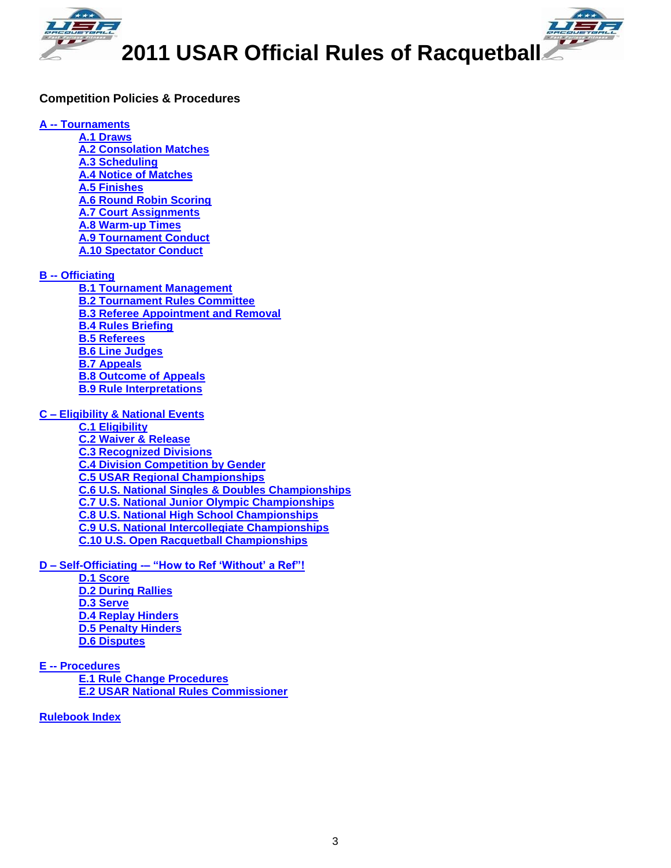

# **Competition Policies & Procedures**

# <span id="page-2-6"></span><span id="page-2-5"></span><span id="page-2-4"></span><span id="page-2-3"></span><span id="page-2-2"></span><span id="page-2-1"></span><span id="page-2-0"></span>**A -- [Tournaments](#page-29-0)**

**[A.1 Draws](#page-29-1) [A.2 Consolation Matches](#page-29-2) [A.3 Scheduling](#page-29-3) [A.4 Notice of Matches](#page-29-4) [A.5 Finishes](#page-29-5) [A.6 Round Robin Scoring](#page-30-0) [A.7 Court Assignments](#page-30-1) [A.8 Warm-up Times](#page-30-2) [A.9 Tournament Conduct](#page-30-3) [A.10 Spectator Conduct](#page-30-4)**

# <span id="page-2-16"></span><span id="page-2-15"></span><span id="page-2-14"></span><span id="page-2-13"></span><span id="page-2-12"></span><span id="page-2-11"></span><span id="page-2-10"></span><span id="page-2-9"></span><span id="page-2-8"></span><span id="page-2-7"></span>**B -- [Officiating](#page-31-0)**

**[B.1 Tournament Management](#page-31-1) [B.2 Tournament Rules Committee](#page-31-2) [B.3 Referee Appointment and Removal](#page-31-3) [B.4 Rules Briefing](#page-31-4) [B.5 Referees](#page-31-5) [B.6 Line Judges](#page-32-0) [B.7 Appeals](#page-32-1) [B.8 Outcome of Appeals](#page-33-0) B.9 [Rule Interpretations](#page-33-1)**

# <span id="page-2-26"></span><span id="page-2-25"></span><span id="page-2-24"></span><span id="page-2-23"></span><span id="page-2-22"></span><span id="page-2-21"></span><span id="page-2-20"></span><span id="page-2-19"></span><span id="page-2-18"></span><span id="page-2-17"></span>**C – [Eligibility & National Events](#page-34-0)**

<span id="page-2-27"></span>**[C.1 Eligibility](#page-34-1) [C.2 Waiver & Release](#page-34-2) [C.3 Recognized Divisions](#page-35-0) [C.4 Division Competition by Gender](#page-36-0) [C.5 USAR Regional Championships](#page-36-1) [C.6 U.S. National Singles & Doubles Championships](#page-36-2) [C.7 U.S. National Junior Olympic Championships](#page-36-3) [C.8 U.S. National High School Championships](#page-36-4) [C.9 U.S. National Intercollegiate Championships](#page-36-5) [C.10 U.S. Open Racquetball Championships](#page-36-6)**

<span id="page-2-36"></span><span id="page-2-35"></span><span id="page-2-34"></span><span id="page-2-33"></span><span id="page-2-32"></span><span id="page-2-31"></span><span id="page-2-30"></span><span id="page-2-29"></span><span id="page-2-28"></span>**D – Self-Officiating -– ["How to Ref "Without" a Ref"!](#page-37-0)**

**[D.1 Score](#page-37-1) [D.2 During Rallies](#page-37-2) [D.3 Serve](#page-37-3) [D.4 Replay Hinders](#page-37-4) [D.5 Penalty Hinders](#page-37-5) [D.6 Disputes](#page-37-6)**

# <span id="page-2-41"></span><span id="page-2-40"></span><span id="page-2-39"></span><span id="page-2-38"></span><span id="page-2-37"></span>**E -- [Procedures](#page-38-0)**

**[E.1 Rule Change Procedures](#page-38-1) [E.2 USAR National Rules Commissioner](#page-38-2)**

<span id="page-2-42"></span>**[Rulebook Index](#page-39-0)**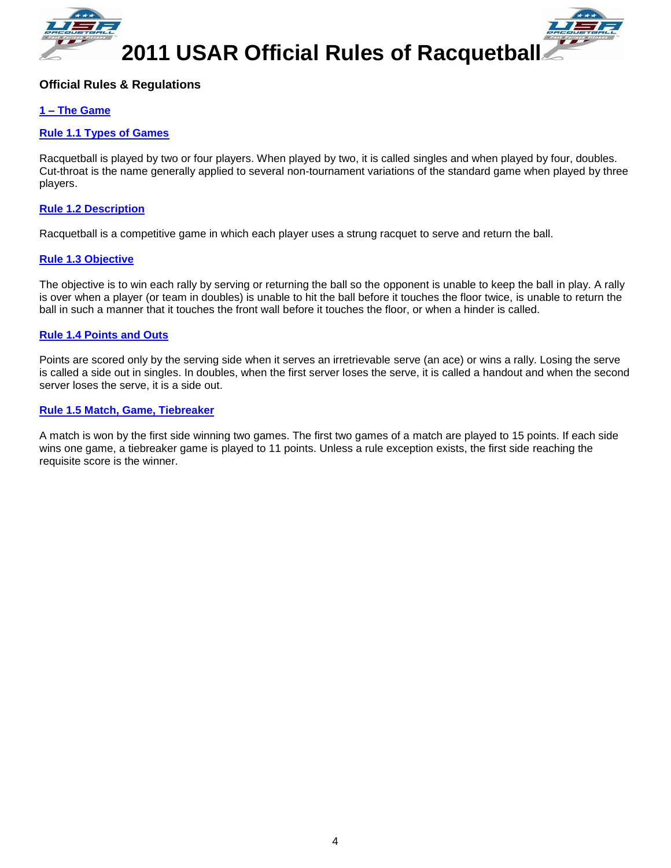

# **Official Rules & Regulations**

# <span id="page-3-0"></span>**1 – [The Game](#page-0-0)**

# <span id="page-3-1"></span>**[Rule 1.1 Types of Games](#page-0-1)**

Racquetball is played by two or four players. When played by two, it is called singles and when played by four, doubles. Cut-throat is the name generally applied to several non-tournament variations of the standard game when played by three players.

# <span id="page-3-2"></span>**[Rule 1.2 Description](#page-0-2)**

Racquetball is a competitive game in which each player uses a strung racquet to serve and return the ball.

# <span id="page-3-3"></span>**[Rule 1.3 Objective](#page-0-3)**

The objective is to win each rally by serving or returning the ball so the opponent is unable to keep the ball in play. A rally is over when a player (or team in doubles) is unable to hit the ball before it touches the floor twice, is unable to return the ball in such a manner that it touches the front wall before it touches the floor, or when a hinder is called.

# <span id="page-3-4"></span>**[Rule 1.4 Points and Outs](#page-0-4)**

Points are scored only by the serving side when it serves an irretrievable serve (an ace) or wins a rally. Losing the serve is called a side out in singles. In doubles, when the first server loses the serve, it is called a handout and when the second server loses the serve, it is a side out.

# <span id="page-3-5"></span>**[Rule 1.5 Match, Game, Tiebreaker](#page-0-5)**

A match is won by the first side winning two games. The first two games of a match are played to 15 points. If each side wins one game, a tiebreaker game is played to 11 points. Unless a rule exception exists, the first side reaching the requisite score is the winner.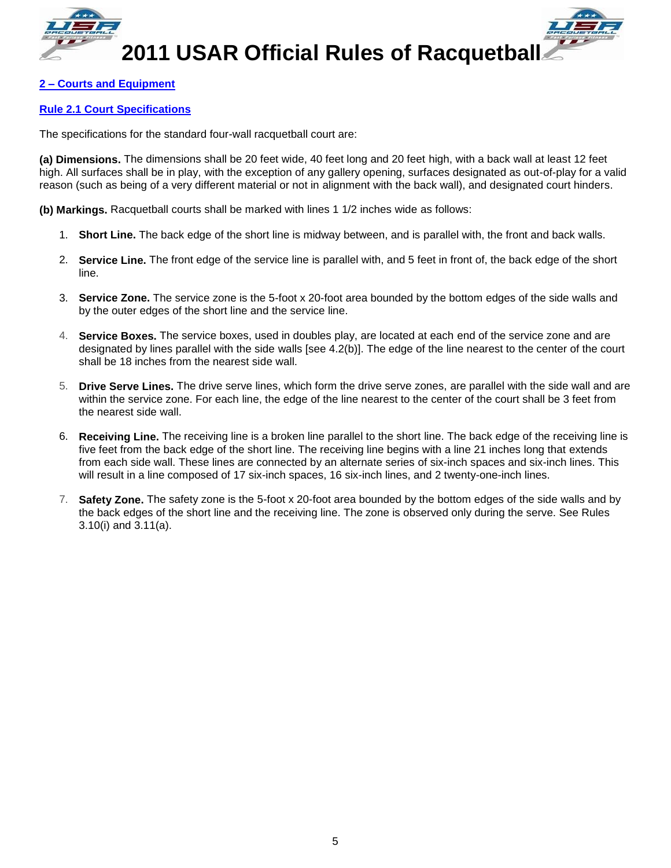

# <span id="page-4-0"></span>**2 – [Courts and Equipment](#page-0-6)**

# <span id="page-4-1"></span>**[Rule 2.1 Court Specifications](#page-0-7)**

The specifications for the standard four-wall racquetball court are:

**(a) Dimensions.** The dimensions shall be 20 feet wide, 40 feet long and 20 feet high, with a back wall at least 12 feet high. All surfaces shall be in play, with the exception of any gallery opening, surfaces designated as out-of-play for a valid reason (such as being of a very different material or not in alignment with the back wall), and designated court hinders.

**(b) Markings.** Racquetball courts shall be marked with lines 1 1/2 inches wide as follows:

- 1. **Short Line.** The back edge of the short line is midway between, and is parallel with, the front and back walls.
- 2. **Service Line.** The front edge of the service line is parallel with, and 5 feet in front of, the back edge of the short line.
- 3. **Service Zone.** The service zone is the 5-foot x 20-foot area bounded by the bottom edges of the side walls and by the outer edges of the short line and the service line.
- 4. **Service Boxes.** The service boxes, used in doubles play, are located at each end of the service zone and are designated by lines parallel with the side walls [see 4.2(b)]. The edge of the line nearest to the center of the court shall be 18 inches from the nearest side wall.
- 5. **Drive Serve Lines.** The drive serve lines, which form the drive serve zones, are parallel with the side wall and are within the service zone. For each line, the edge of the line nearest to the center of the court shall be 3 feet from the nearest side wall.
- 6. **Receiving Line.** The receiving line is a broken line parallel to the short line. The back edge of the receiving line is five feet from the back edge of the short line. The receiving line begins with a line 21 inches long that extends from each side wall. These lines are connected by an alternate series of six-inch spaces and six-inch lines. This will result in a line composed of 17 six-inch spaces, 16 six-inch lines, and 2 twenty-one-inch lines.
- 7. **Safety Zone.** The safety zone is the 5-foot x 20-foot area bounded by the bottom edges of the side walls and by the back edges of the short line and the receiving line. The zone is observed only during the serve. See Rules 3.10(i) and 3.11(a).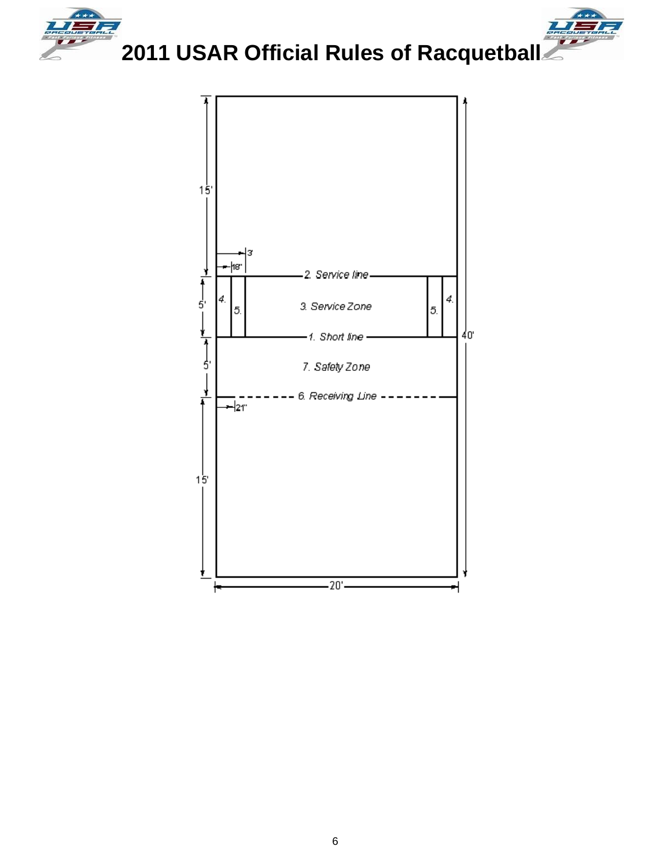

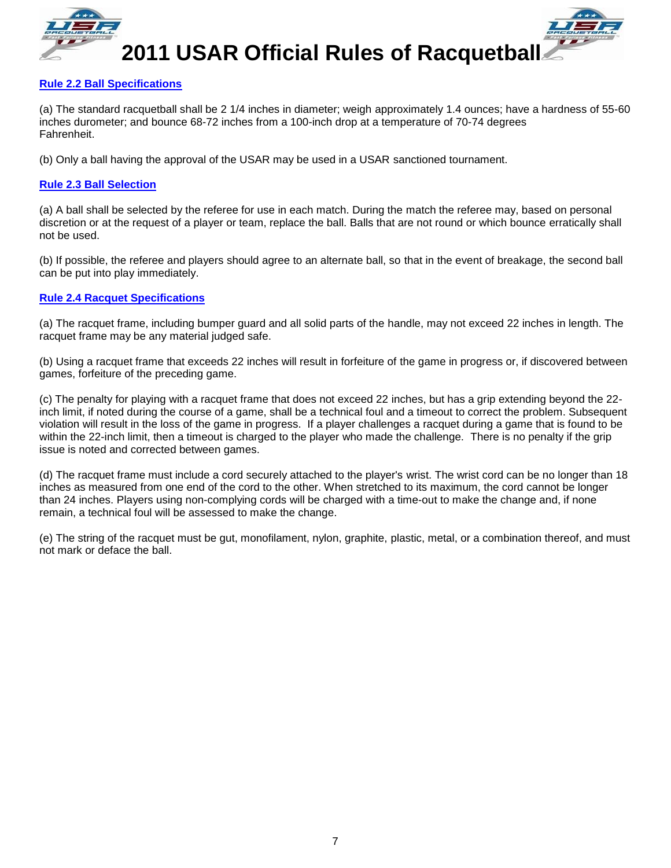

# <span id="page-6-0"></span>**[Rule 2.2 Ball Specifications](#page-0-8)**

(a) The standard racquetball shall be 2 1/4 inches in diameter; weigh approximately 1.4 ounces; have a hardness of 55-60 inches durometer; and bounce 68-72 inches from a 100-inch drop at a temperature of 70-74 degrees Fahrenheit.

(b) Only a ball having the approval of the USAR may be used in a USAR sanctioned tournament.

# <span id="page-6-1"></span>**[Rule 2.3 Ball Selection](#page-0-9)**

(a) A ball shall be selected by the referee for use in each match. During the match the referee may, based on personal discretion or at the request of a player or team, replace the ball. Balls that are not round or which bounce erratically shall not be used.

(b) If possible, the referee and players should agree to an alternate ball, so that in the event of breakage, the second ball can be put into play immediately.

# <span id="page-6-2"></span>**[Rule 2.4 Racquet Specifications](#page-0-10)**

(a) The racquet frame, including bumper guard and all solid parts of the handle, may not exceed 22 inches in length. The racquet frame may be any material judged safe.

(b) Using a racquet frame that exceeds 22 inches will result in forfeiture of the game in progress or, if discovered between games, forfeiture of the preceding game.

(c) The penalty for playing with a racquet frame that does not exceed 22 inches, but has a grip extending beyond the 22 inch limit, if noted during the course of a game, shall be a technical foul and a timeout to correct the problem. Subsequent violation will result in the loss of the game in progress. If a player challenges a racquet during a game that is found to be within the 22-inch limit, then a timeout is charged to the player who made the challenge. There is no penalty if the grip issue is noted and corrected between games.

(d) The racquet frame must include a cord securely attached to the player's wrist. The wrist cord can be no longer than 18 inches as measured from one end of the cord to the other. When stretched to its maximum, the cord cannot be longer than 24 inches. Players using non-complying cords will be charged with a time-out to make the change and, if none remain, a technical foul will be assessed to make the change.

(e) The string of the racquet must be gut, monofilament, nylon, graphite, plastic, metal, or a combination thereof, and must not mark or deface the ball.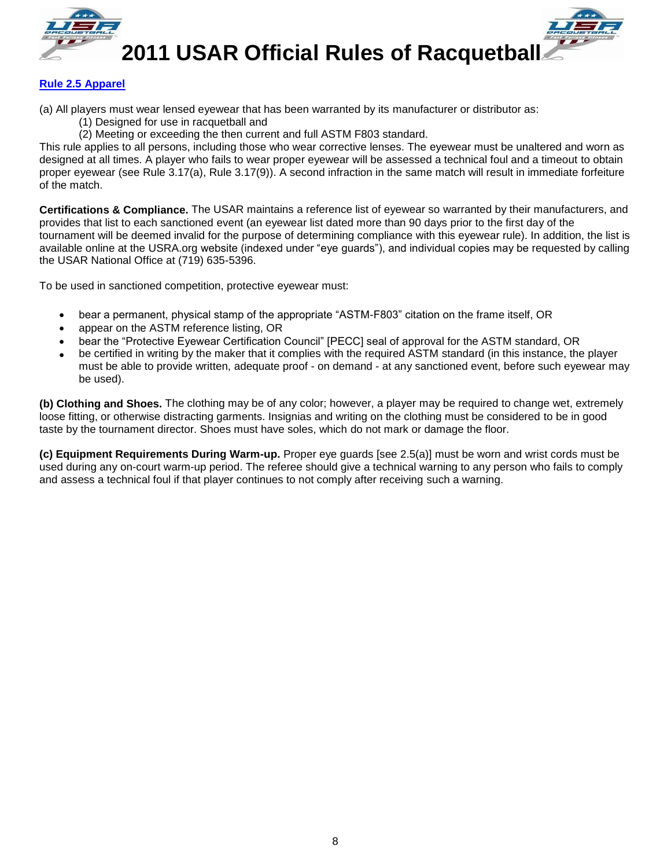

# <span id="page-7-0"></span>**[Rule 2.5 Apparel](#page-0-11)**

(a) All players must wear lensed eyewear that has been warranted by its manufacturer or distributor as:

- (1) Designed for use in racquetball and
- (2) Meeting or exceeding the then current and full ASTM F803 standard.

This rule applies to all persons, including those who wear corrective lenses. The eyewear must be unaltered and worn as designed at all times. A player who fails to wear proper eyewear will be assessed a technical foul and a timeout to obtain proper eyewear (see Rule 3.17(a), Rule 3.17(9)). A second infraction in the same match will result in immediate forfeiture of the match.

**Certifications & Compliance.** The USAR maintains a reference list of eyewear so warranted by their manufacturers, and provides that list to each sanctioned event (an eyewear list dated more than 90 days prior to the first day of the tournament will be deemed invalid for the purpose of determining compliance with this eyewear rule). In addition, the list is available online at the USRA.org website (indexed under "eye guards"), and individual copies may be requested by calling the USAR National Office at (719) 635-5396.

To be used in sanctioned competition, protective eyewear must:

- bear a permanent, physical stamp of the appropriate "ASTM-F803" citation on the frame itself, OR
- appear on the ASTM reference listing, OR
- bear the "Protective Eyewear Certification Council" [PECC] seal of approval for the ASTM standard, OR
- be certified in writing by the maker that it complies with the required ASTM standard (in this instance, the player must be able to provide written, adequate proof - on demand - at any sanctioned event, before such eyewear may be used).

**(b) Clothing and Shoes.** The clothing may be of any color; however, a player may be required to change wet, extremely loose fitting, or otherwise distracting garments. Insignias and writing on the clothing must be considered to be in good taste by the tournament director. Shoes must have soles, which do not mark or damage the floor.

**(c) Equipment Requirements During Warm-up.** Proper eye guards [see 2.5(a)] must be worn and wrist cords must be used during any on-court warm-up period. The referee should give a technical warning to any person who fails to comply and assess a technical foul if that player continues to not comply after receiving such a warning.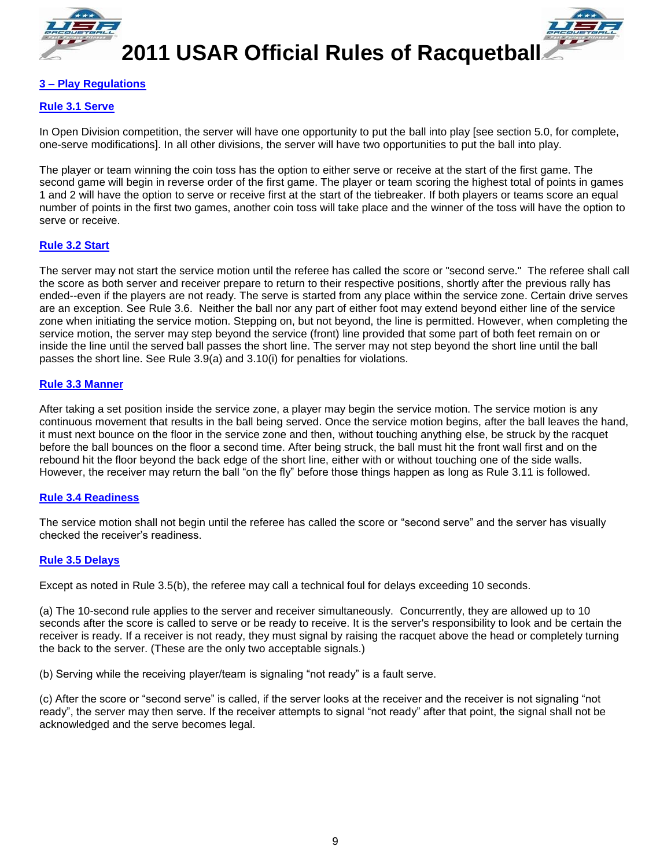

# <span id="page-8-0"></span>**3 – [Play Regulations](#page-0-12)**

# <span id="page-8-1"></span>**[Rule 3.1 Serve](#page-0-13)**

In Open Division competition, the server will have one opportunity to put the ball into play [see section 5.0, for complete, one-serve modifications]. In all other divisions, the server will have two opportunities to put the ball into play.

The player or team winning the coin toss has the option to either serve or receive at the start of the first game. The second game will begin in reverse order of the first game. The player or team scoring the highest total of points in games 1 and 2 will have the option to serve or receive first at the start of the tiebreaker. If both players or teams score an equal number of points in the first two games, another coin toss will take place and the winner of the toss will have the option to serve or receive.

# <span id="page-8-2"></span>**[Rule 3.2 Start](#page-0-14)**

The server may not start the service motion until the referee has called the score or "second serve." The referee shall call the score as both server and receiver prepare to return to their respective positions, shortly after the previous rally has ended--even if the players are not ready. The serve is started from any place within the service zone. Certain drive serves are an exception. See Rule 3.6. Neither the ball nor any part of either foot may extend beyond either line of the service zone when initiating the service motion. Stepping on, but not beyond, the line is permitted. However, when completing the service motion, the server may step beyond the service (front) line provided that some part of both feet remain on or inside the line until the served ball passes the short line. The server may not step beyond the short line until the ball passes the short line. See Rule 3.9(a) and 3.10(i) for penalties for violations.

### <span id="page-8-3"></span>**[Rule 3.3 Manner](#page-0-15)**

After taking a set position inside the service zone, a player may begin the service motion. The service motion is any continuous movement that results in the ball being served. Once the service motion begins, after the ball leaves the hand, it must next bounce on the floor in the service zone and then, without touching anything else, be struck by the racquet before the ball bounces on the floor a second time. After being struck, the ball must hit the front wall first and on the rebound hit the floor beyond the back edge of the short line, either with or without touching one of the side walls. However, the receiver may return the ball "on the fly" before those things happen as long as Rule 3.11 is followed.

#### <span id="page-8-4"></span>**[Rule 3.4 Readiness](#page-0-16)**

The service motion shall not begin until the referee has called the score or "second serve" and the server has visually checked the receiver"s readiness.

# <span id="page-8-5"></span>**[Rule 3.5 Delays](#page-0-17)**

Except as noted in Rule 3.5(b), the referee may call a technical foul for delays exceeding 10 seconds.

(a) The 10-second rule applies to the server and receiver simultaneously. Concurrently, they are allowed up to 10 seconds after the score is called to serve or be ready to receive. It is the server's responsibility to look and be certain the receiver is ready. If a receiver is not ready, they must signal by raising the racquet above the head or completely turning the back to the server. (These are the only two acceptable signals.)

(b) Serving while the receiving player/team is signaling "not ready" is a fault serve.

(c) After the score or "second serve" is called, if the server looks at the receiver and the receiver is not signaling "not ready", the server may then serve. If the receiver attempts to signal "not ready" after that point, the signal shall not be acknowledged and the serve becomes legal.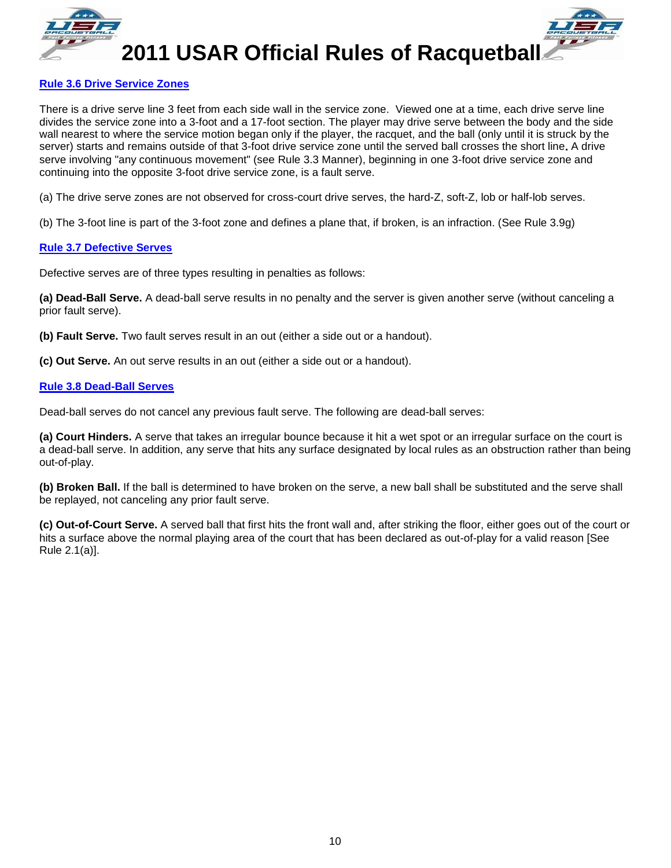

# <span id="page-9-0"></span>**[Rule 3.6 Drive Service Zones](#page-0-18)**

There is a drive serve line 3 feet from each side wall in the service zone. Viewed one at a time, each drive serve line divides the service zone into a 3-foot and a 17-foot section. The player may drive serve between the body and the side wall nearest to where the service motion began only if the player, the racquet, and the ball (only until it is struck by the server) starts and remains outside of that 3-foot drive service zone until the served ball crosses the short line**.** A drive serve involving "any continuous movement" (see Rule 3.3 Manner), beginning in one 3-foot drive service zone and continuing into the opposite 3-foot drive service zone, is a fault serve.

(a) The drive serve zones are not observed for cross-court drive serves, the hard-Z, soft-Z, lob or half-lob serves.

(b) The 3-foot line is part of the 3-foot zone and defines a plane that, if broken, is an infraction. (See Rule 3.9g)

# <span id="page-9-1"></span>**[Rule 3.7 Defective Serves](#page-0-19)**

Defective serves are of three types resulting in penalties as follows:

**(a) Dead-Ball Serve.** A dead-ball serve results in no penalty and the server is given another serve (without canceling a prior fault serve).

**(b) Fault Serve.** Two fault serves result in an out (either a side out or a handout).

**(c) Out Serve.** An out serve results in an out (either a side out or a handout).

# <span id="page-9-2"></span>**[Rule 3.8 Dead-Ball Serves](#page-0-20)**

Dead-ball serves do not cancel any previous fault serve. The following are dead-ball serves:

**(a) Court Hinders.** A serve that takes an irregular bounce because it hit a wet spot or an irregular surface on the court is a dead-ball serve. In addition, any serve that hits any surface designated by local rules as an obstruction rather than being out-of-play.

**(b) Broken Ball.** If the ball is determined to have broken on the serve, a new ball shall be substituted and the serve shall be replayed, not canceling any prior fault serve.

**(c) Out-of-Court Serve.** A served ball that first hits the front wall and, after striking the floor, either goes out of the court or hits a surface above the normal playing area of the court that has been declared as out-of-play for a valid reason [See Rule 2.1(a)].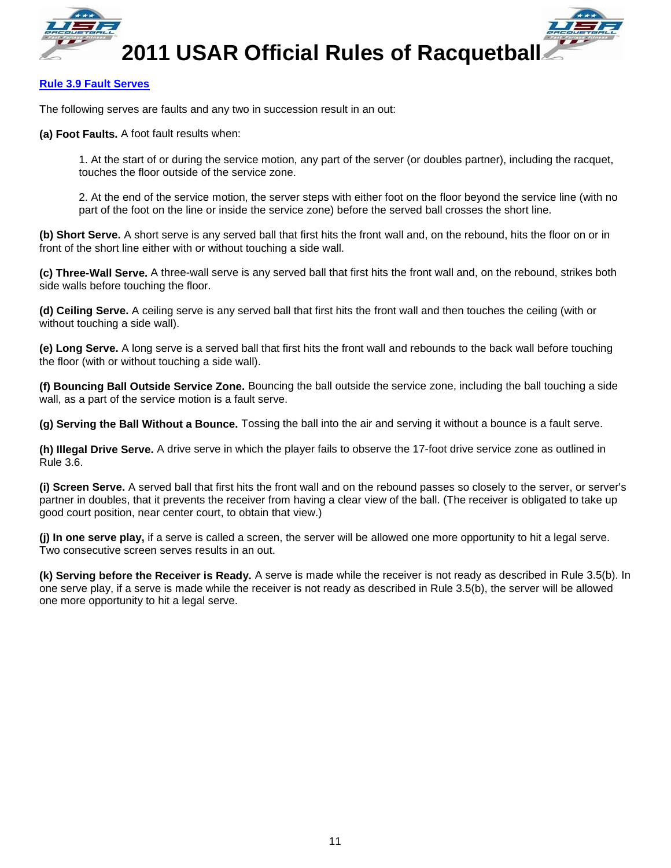

# <span id="page-10-0"></span>**[Rule 3.9 Fault Serves](#page-0-21)**

The following serves are faults and any two in succession result in an out:

**(a) Foot Faults.** A foot fault results when:

1. At the start of or during the service motion, any part of the server (or doubles partner), including the racquet, touches the floor outside of the service zone.

2. At the end of the service motion, the server steps with either foot on the floor beyond the service line (with no part of the foot on the line or inside the service zone) before the served ball crosses the short line.

**(b) Short Serve.** A short serve is any served ball that first hits the front wall and, on the rebound, hits the floor on or in front of the short line either with or without touching a side wall.

**(c) Three-Wall Serve.** A three-wall serve is any served ball that first hits the front wall and, on the rebound, strikes both side walls before touching the floor.

**(d) Ceiling Serve.** A ceiling serve is any served ball that first hits the front wall and then touches the ceiling (with or without touching a side wall).

**(e) Long Serve.** A long serve is a served ball that first hits the front wall and rebounds to the back wall before touching the floor (with or without touching a side wall).

**(f) Bouncing Ball Outside Service Zone.** Bouncing the ball outside the service zone, including the ball touching a side wall, as a part of the service motion is a fault serve.

**(g) Serving the Ball Without a Bounce.** Tossing the ball into the air and serving it without a bounce is a fault serve.

**(h) Illegal Drive Serve.** A drive serve in which the player fails to observe the 17-foot drive service zone as outlined in Rule 3.6.

**(i) Screen Serve.** A served ball that first hits the front wall and on the rebound passes so closely to the server, or server's partner in doubles, that it prevents the receiver from having a clear view of the ball. (The receiver is obligated to take up good court position, near center court, to obtain that view.)

**(j) In one serve play,** if a serve is called a screen, the server will be allowed one more opportunity to hit a legal serve. Two consecutive screen serves results in an out.

**(k) Serving before the Receiver is Ready.** A serve is made while the receiver is not ready as described in Rule 3.5(b). In one serve play, if a serve is made while the receiver is not ready as described in Rule 3.5(b), the server will be allowed one more opportunity to hit a legal serve.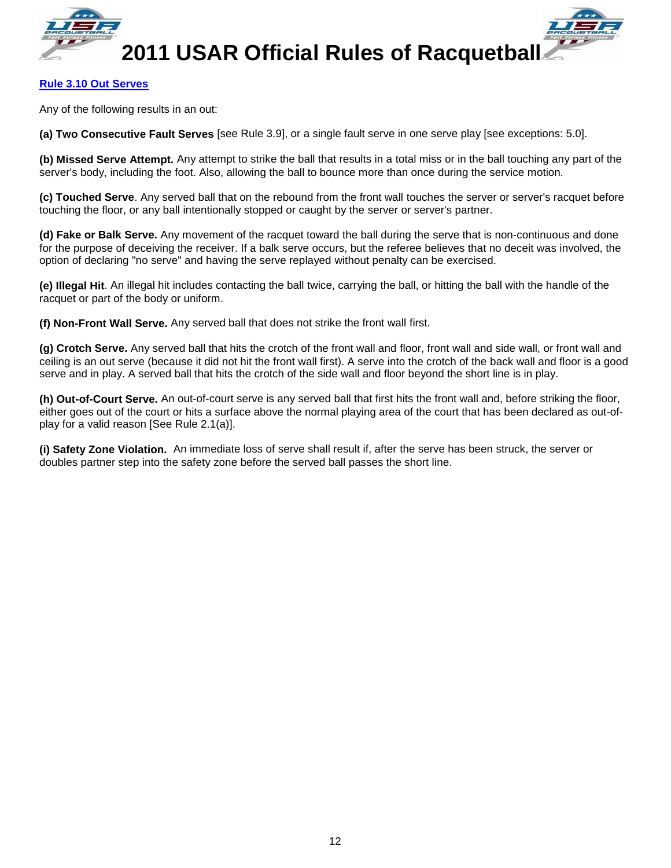

# <span id="page-11-0"></span>**[Rule 3.10 Out Serves](#page-0-22)**

Any of the following results in an out:

**(a) Two Consecutive Fault Serves** [see Rule 3.9], or a single fault serve in one serve play [see exceptions: 5.0].

**(b) Missed Serve Attempt.** Any attempt to strike the ball that results in a total miss or in the ball touching any part of the server's body, including the foot. Also, allowing the ball to bounce more than once during the service motion.

**(c) Touched Serve**. Any served ball that on the rebound from the front wall touches the server or server's racquet before touching the floor, or any ball intentionally stopped or caught by the server or server's partner.

**(d) Fake or Balk Serve.** Any movement of the racquet toward the ball during the serve that is non-continuous and done for the purpose of deceiving the receiver. If a balk serve occurs, but the referee believes that no deceit was involved, the option of declaring "no serve" and having the serve replayed without penalty can be exercised.

**(e) Illegal Hit**. An illegal hit includes contacting the ball twice, carrying the ball, or hitting the ball with the handle of the racquet or part of the body or uniform.

**(f) Non-Front Wall Serve.** Any served ball that does not strike the front wall first.

**(g) Crotch Serve.** Any served ball that hits the crotch of the front wall and floor, front wall and side wall, or front wall and ceiling is an out serve (because it did not hit the front wall first). A serve into the crotch of the back wall and floor is a good serve and in play. A served ball that hits the crotch of the side wall and floor beyond the short line is in play.

**(h) Out-of-Court Serve.** An out-of-court serve is any served ball that first hits the front wall and, before striking the floor, either goes out of the court or hits a surface above the normal playing area of the court that has been declared as out-ofplay for a valid reason [See Rule 2.1(a)].

**(i) Safety Zone Violation.** An immediate loss of serve shall result if, after the serve has been struck, the server or doubles partner step into the safety zone before the served ball passes the short line.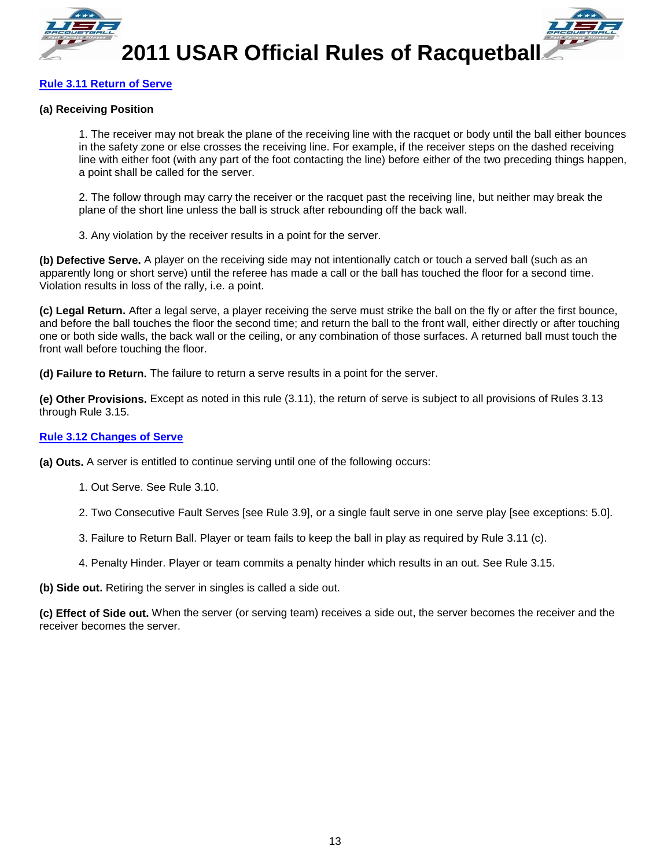

# <span id="page-12-0"></span>**[Rule 3.11 Return of Serve](#page-0-23)**

# **(a) Receiving Position**

1. The receiver may not break the plane of the receiving line with the racquet or body until the ball either bounces in the safety zone or else crosses the receiving line. For example, if the receiver steps on the dashed receiving line with either foot (with any part of the foot contacting the line) before either of the two preceding things happen, a point shall be called for the server.

2. The follow through may carry the receiver or the racquet past the receiving line, but neither may break the plane of the short line unless the ball is struck after rebounding off the back wall.

3. Any violation by the receiver results in a point for the server.

**(b) Defective Serve.** A player on the receiving side may not intentionally catch or touch a served ball (such as an apparently long or short serve) until the referee has made a call or the ball has touched the floor for a second time. Violation results in loss of the rally, i.e. a point.

**(c) Legal Return.** After a legal serve, a player receiving the serve must strike the ball on the fly or after the first bounce, and before the ball touches the floor the second time; and return the ball to the front wall, either directly or after touching one or both side walls, the back wall or the ceiling, or any combination of those surfaces. A returned ball must touch the front wall before touching the floor.

**(d) Failure to Return.** The failure to return a serve results in a point for the server.

**(e) Other Provisions.** Except as noted in this rule (3.11), the return of serve is subject to all provisions of Rules 3.13 through Rule 3.15.

# <span id="page-12-1"></span>**[Rule 3.12 Changes of Serve](#page-0-24)**

**(a) Outs.** A server is entitled to continue serving until one of the following occurs:

- 1. Out Serve. See Rule 3.10.
- 2. Two Consecutive Fault Serves [see Rule 3.9], or a single fault serve in one serve play [see exceptions: 5.0].
- 3. Failure to Return Ball. Player or team fails to keep the ball in play as required by Rule 3.11 (c).
- 4. Penalty Hinder. Player or team commits a penalty hinder which results in an out. See Rule 3.15.

**(b) Side out.** Retiring the server in singles is called a side out.

**(c) Effect of Side out.** When the server (or serving team) receives a side out, the server becomes the receiver and the receiver becomes the server.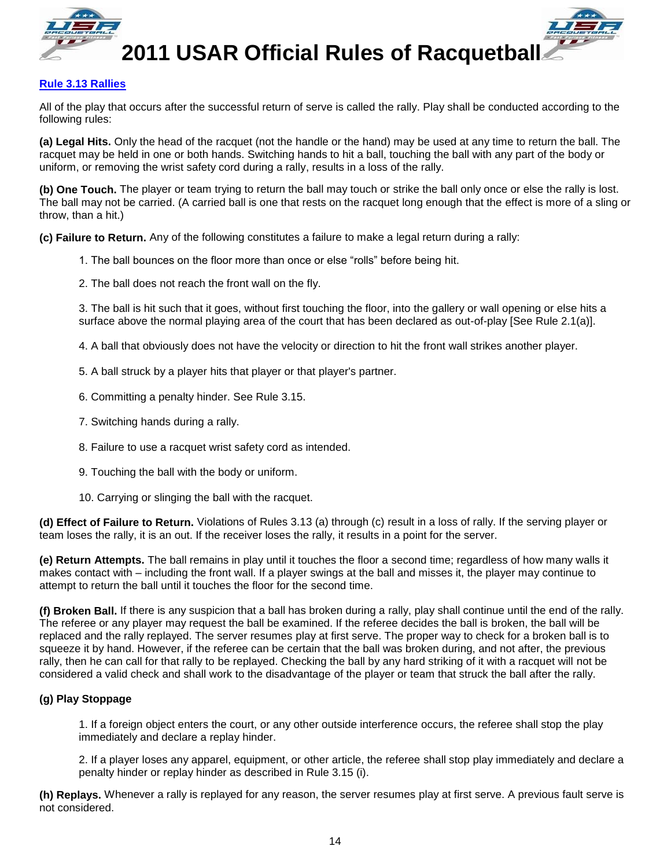

# <span id="page-13-0"></span>**[Rule 3.13 Rallies](#page-0-25)**

All of the play that occurs after the successful return of serve is called the rally. Play shall be conducted according to the following rules:

**(a) Legal Hits.** Only the head of the racquet (not the handle or the hand) may be used at any time to return the ball. The racquet may be held in one or both hands. Switching hands to hit a ball, touching the ball with any part of the body or uniform, or removing the wrist safety cord during a rally, results in a loss of the rally.

**(b) One Touch.** The player or team trying to return the ball may touch or strike the ball only once or else the rally is lost. The ball may not be carried. (A carried ball is one that rests on the racquet long enough that the effect is more of a sling or throw, than a hit.)

**(c) Failure to Return.** Any of the following constitutes a failure to make a legal return during a rally:

- 1. The ball bounces on the floor more than once or else "rolls" before being hit.
- 2. The ball does not reach the front wall on the fly.

3. The ball is hit such that it goes, without first touching the floor, into the gallery or wall opening or else hits a surface above the normal playing area of the court that has been declared as out-of-play [See Rule 2.1(a)].

4. A ball that obviously does not have the velocity or direction to hit the front wall strikes another player.

- 5. A ball struck by a player hits that player or that player's partner.
- 6. Committing a penalty hinder. See Rule 3.15.
- 7. Switching hands during a rally.
- 8. Failure to use a racquet wrist safety cord as intended.
- 9. Touching the ball with the body or uniform.
- 10. Carrying or slinging the ball with the racquet.

**(d) Effect of Failure to Return.** Violations of Rules 3.13 (a) through (c) result in a loss of rally. If the serving player or team loses the rally, it is an out. If the receiver loses the rally, it results in a point for the server.

**(e) Return Attempts.** The ball remains in play until it touches the floor a second time; regardless of how many walls it makes contact with – including the front wall. If a player swings at the ball and misses it, the player may continue to attempt to return the ball until it touches the floor for the second time.

**(f) Broken Ball.** If there is any suspicion that a ball has broken during a rally, play shall continue until the end of the rally. The referee or any player may request the ball be examined. If the referee decides the ball is broken, the ball will be replaced and the rally replayed. The server resumes play at first serve. The proper way to check for a broken ball is to squeeze it by hand. However, if the referee can be certain that the ball was broken during, and not after, the previous rally, then he can call for that rally to be replayed. Checking the ball by any hard striking of it with a racquet will not be considered a valid check and shall work to the disadvantage of the player or team that struck the ball after the rally.

# **(g) Play Stoppage**

1. If a foreign object enters the court, or any other outside interference occurs, the referee shall stop the play immediately and declare a replay hinder.

2. If a player loses any apparel, equipment, or other article, the referee shall stop play immediately and declare a penalty hinder or replay hinder as described in Rule 3.15 (i).

**(h) Replays.** Whenever a rally is replayed for any reason, the server resumes play at first serve. A previous fault serve is not considered.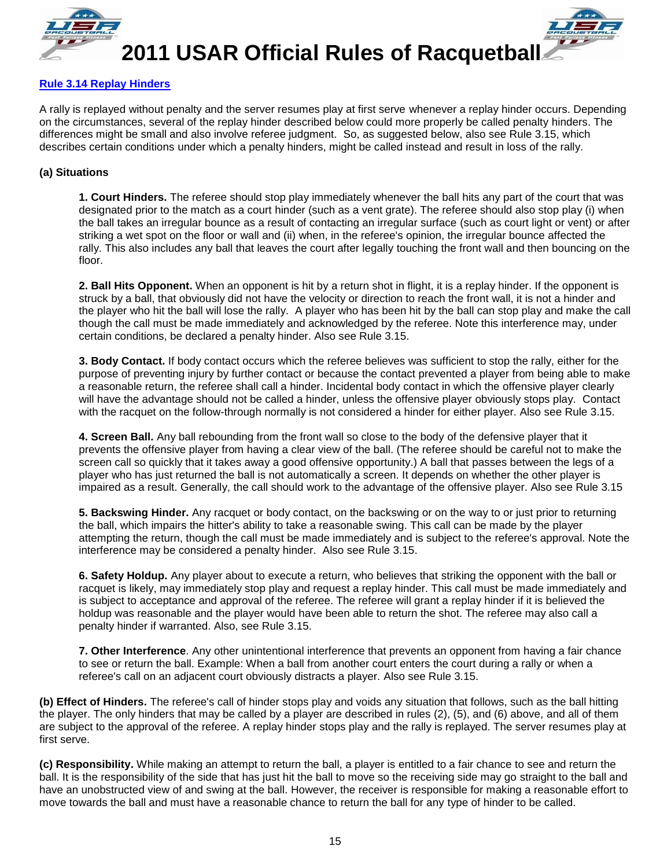

# <span id="page-14-0"></span>**[Rule 3.14 Replay Hinders](#page-0-26)**

A rally is replayed without penalty and the server resumes play at first serve whenever a replay hinder occurs. Depending on the circumstances, several of the replay hinder described below could more properly be called penalty hinders. The differences might be small and also involve referee judgment. So, as suggested below, also see Rule 3.15, which describes certain conditions under which a penalty hinders, might be called instead and result in loss of the rally.

# **(a) Situations**

**1. Court Hinders.** The referee should stop play immediately whenever the ball hits any part of the court that was designated prior to the match as a court hinder (such as a vent grate). The referee should also stop play (i) when the ball takes an irregular bounce as a result of contacting an irregular surface (such as court light or vent) or after striking a wet spot on the floor or wall and (ii) when, in the referee's opinion, the irregular bounce affected the rally. This also includes any ball that leaves the court after legally touching the front wall and then bouncing on the floor.

**2. Ball Hits Opponent.** When an opponent is hit by a return shot in flight, it is a replay hinder. If the opponent is struck by a ball, that obviously did not have the velocity or direction to reach the front wall, it is not a hinder and the player who hit the ball will lose the rally. A player who has been hit by the ball can stop play and make the call though the call must be made immediately and acknowledged by the referee. Note this interference may, under certain conditions, be declared a penalty hinder. Also see Rule 3.15.

**3. Body Contact.** If body contact occurs which the referee believes was sufficient to stop the rally, either for the purpose of preventing injury by further contact or because the contact prevented a player from being able to make a reasonable return, the referee shall call a hinder. Incidental body contact in which the offensive player clearly will have the advantage should not be called a hinder, unless the offensive player obviously stops play. Contact with the racquet on the follow-through normally is not considered a hinder for either player. Also see Rule 3.15.

**4. Screen Ball.** Any ball rebounding from the front wall so close to the body of the defensive player that it prevents the offensive player from having a clear view of the ball. (The referee should be careful not to make the screen call so quickly that it takes away a good offensive opportunity.) A ball that passes between the legs of a player who has just returned the ball is not automatically a screen. It depends on whether the other player is impaired as a result. Generally, the call should work to the advantage of the offensive player. Also see Rule 3.15

**5. Backswing Hinder.** Any racquet or body contact, on the backswing or on the way to or just prior to returning the ball, which impairs the hitter's ability to take a reasonable swing. This call can be made by the player attempting the return, though the call must be made immediately and is subject to the referee's approval. Note the interference may be considered a penalty hinder. Also see Rule 3.15.

**6. Safety Holdup.** Any player about to execute a return, who believes that striking the opponent with the ball or racquet is likely, may immediately stop play and request a replay hinder. This call must be made immediately and is subject to acceptance and approval of the referee. The referee will grant a replay hinder if it is believed the holdup was reasonable and the player would have been able to return the shot. The referee may also call a penalty hinder if warranted. Also, see Rule 3.15.

**7. Other Interference**. Any other unintentional interference that prevents an opponent from having a fair chance to see or return the ball. Example: When a ball from another court enters the court during a rally or when a referee's call on an adjacent court obviously distracts a player. Also see Rule 3.15.

**(b) Effect of Hinders.** The referee's call of hinder stops play and voids any situation that follows, such as the ball hitting the player. The only hinders that may be called by a player are described in rules (2), (5), and (6) above, and all of them are subject to the approval of the referee. A replay hinder stops play and the rally is replayed. The server resumes play at first serve.

**(c) Responsibility.** While making an attempt to return the ball, a player is entitled to a fair chance to see and return the ball. It is the responsibility of the side that has just hit the ball to move so the receiving side may go straight to the ball and have an unobstructed view of and swing at the ball. However, the receiver is responsible for making a reasonable effort to move towards the ball and must have a reasonable chance to return the ball for any type of hinder to be called.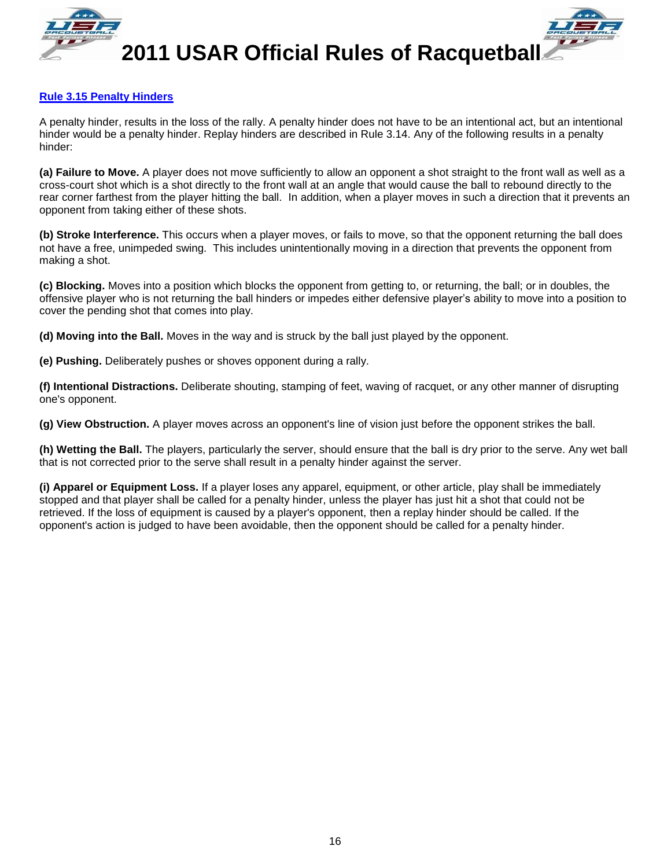

# <span id="page-15-0"></span>**[Rule 3.15 Penalty Hinders](#page-0-27)**

A penalty hinder, results in the loss of the rally. A penalty hinder does not have to be an intentional act, but an intentional hinder would be a penalty hinder. Replay hinders are described in Rule 3.14. Any of the following results in a penalty hinder:

**(a) Failure to Move.** A player does not move sufficiently to allow an opponent a shot straight to the front wall as well as a cross-court shot which is a shot directly to the front wall at an angle that would cause the ball to rebound directly to the rear corner farthest from the player hitting the ball. In addition, when a player moves in such a direction that it prevents an opponent from taking either of these shots.

**(b) Stroke Interference.** This occurs when a player moves, or fails to move, so that the opponent returning the ball does not have a free, unimpeded swing. This includes unintentionally moving in a direction that prevents the opponent from making a shot.

**(c) Blocking.** Moves into a position which blocks the opponent from getting to, or returning, the ball; or in doubles, the offensive player who is not returning the ball hinders or impedes either defensive player"s ability to move into a position to cover the pending shot that comes into play.

**(d) Moving into the Ball.** Moves in the way and is struck by the ball just played by the opponent.

**(e) Pushing.** Deliberately pushes or shoves opponent during a rally.

**(f) Intentional Distractions.** Deliberate shouting, stamping of feet, waving of racquet, or any other manner of disrupting one's opponent.

**(g) View Obstruction.** A player moves across an opponent's line of vision just before the opponent strikes the ball.

**(h) Wetting the Ball.** The players, particularly the server, should ensure that the ball is dry prior to the serve. Any wet ball that is not corrected prior to the serve shall result in a penalty hinder against the server.

**(i) Apparel or Equipment Loss.** If a player loses any apparel, equipment, or other article, play shall be immediately stopped and that player shall be called for a penalty hinder, unless the player has just hit a shot that could not be retrieved. If the loss of equipment is caused by a player's opponent, then a replay hinder should be called. If the opponent's action is judged to have been avoidable, then the opponent should be called for a penalty hinder.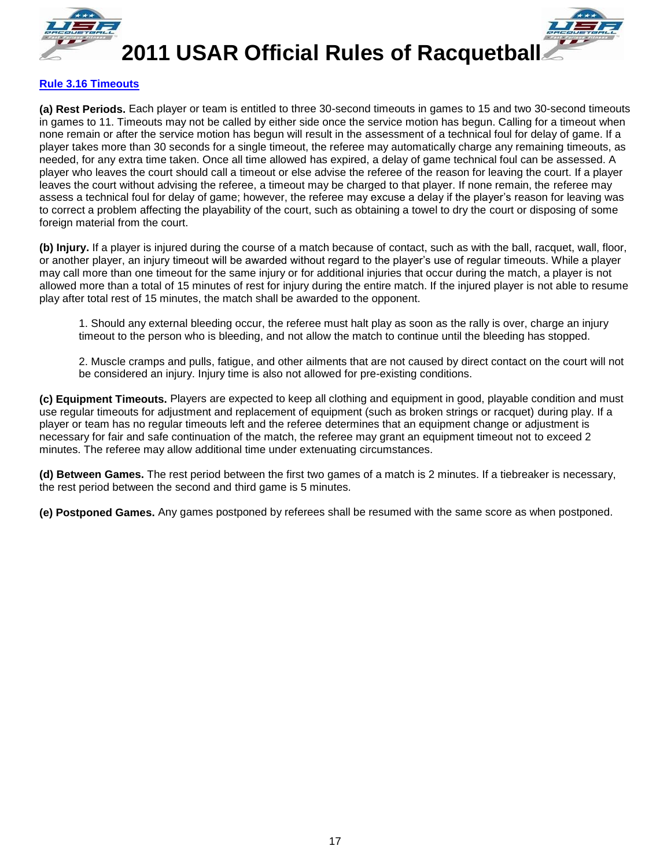

# <span id="page-16-0"></span>**[Rule 3.16 Timeouts](#page-0-28)**

**(a) Rest Periods.** Each player or team is entitled to three 30-second timeouts in games to 15 and two 30-second timeouts in games to 11. Timeouts may not be called by either side once the service motion has begun. Calling for a timeout when none remain or after the service motion has begun will result in the assessment of a technical foul for delay of game. If a player takes more than 30 seconds for a single timeout, the referee may automatically charge any remaining timeouts, as needed, for any extra time taken. Once all time allowed has expired, a delay of game technical foul can be assessed. A player who leaves the court should call a timeout or else advise the referee of the reason for leaving the court. If a player leaves the court without advising the referee, a timeout may be charged to that player. If none remain, the referee may assess a technical foul for delay of game; however, the referee may excuse a delay if the player"s reason for leaving was to correct a problem affecting the playability of the court, such as obtaining a towel to dry the court or disposing of some foreign material from the court.

**(b) Injury.** If a player is injured during the course of a match because of contact, such as with the ball, racquet, wall, floor, or another player, an injury timeout will be awarded without regard to the player"s use of regular timeouts. While a player may call more than one timeout for the same injury or for additional injuries that occur during the match, a player is not allowed more than a total of 15 minutes of rest for injury during the entire match. If the injured player is not able to resume play after total rest of 15 minutes, the match shall be awarded to the opponent.

1. Should any external bleeding occur, the referee must halt play as soon as the rally is over, charge an injury timeout to the person who is bleeding, and not allow the match to continue until the bleeding has stopped.

2. Muscle cramps and pulls, fatigue, and other ailments that are not caused by direct contact on the court will not be considered an injury. Injury time is also not allowed for pre-existing conditions.

**(c) Equipment Timeouts.** Players are expected to keep all clothing and equipment in good, playable condition and must use regular timeouts for adjustment and replacement of equipment (such as broken strings or racquet) during play. If a player or team has no regular timeouts left and the referee determines that an equipment change or adjustment is necessary for fair and safe continuation of the match, the referee may grant an equipment timeout not to exceed 2 minutes. The referee may allow additional time under extenuating circumstances.

**(d) Between Games.** The rest period between the first two games of a match is 2 minutes. If a tiebreaker is necessary, the rest period between the second and third game is 5 minutes.

**(e) Postponed Games.** Any games postponed by referees shall be resumed with the same score as when postponed.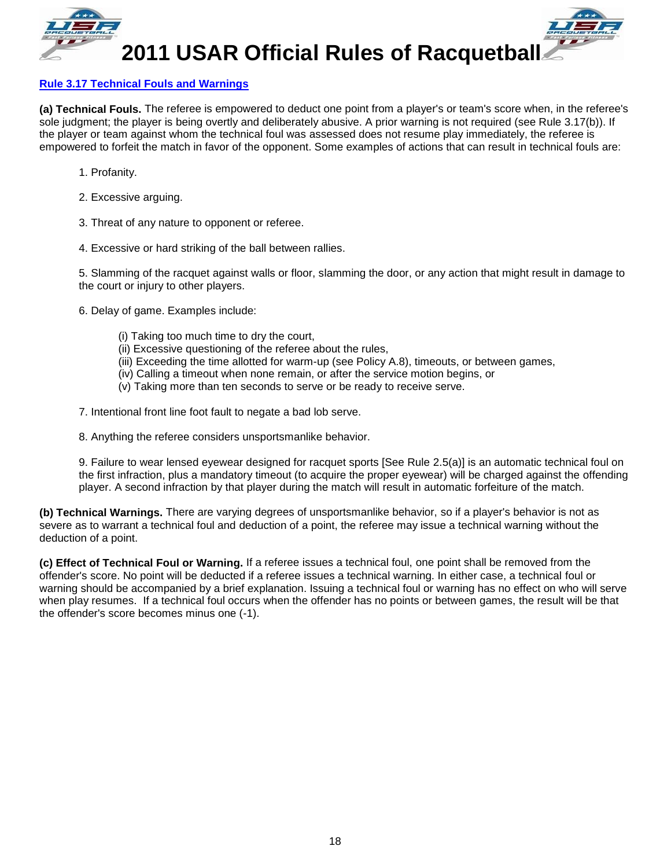**2011 USAR Official Rules of Racquetball**

# <span id="page-17-0"></span>**[Rule 3.17 Technical Fouls and Warnings](#page-0-29)**

**(a) Technical Fouls.** The referee is empowered to deduct one point from a player's or team's score when, in the referee's sole judgment; the player is being overtly and deliberately abusive. A prior warning is not required (see Rule 3.17(b)). If the player or team against whom the technical foul was assessed does not resume play immediately, the referee is empowered to forfeit the match in favor of the opponent. Some examples of actions that can result in technical fouls are:

- 1. Profanity.
- 2. Excessive arguing.
- 3. Threat of any nature to opponent or referee.
- 4. Excessive or hard striking of the ball between rallies.

5. Slamming of the racquet against walls or floor, slamming the door, or any action that might result in damage to the court or injury to other players.

- 6. Delay of game. Examples include:
	- (i) Taking too much time to dry the court,
	- (ii) Excessive questioning of the referee about the rules,
	- (iii) Exceeding the time allotted for warm-up (see Policy A.8), timeouts, or between games,
	- (iv) Calling a timeout when none remain, or after the service motion begins, or
	- (v) Taking more than ten seconds to serve or be ready to receive serve.
- 7. Intentional front line foot fault to negate a bad lob serve.
- 8. Anything the referee considers unsportsmanlike behavior.

9. Failure to wear lensed eyewear designed for racquet sports [See Rule 2.5(a)] is an automatic technical foul on the first infraction, plus a mandatory timeout (to acquire the proper eyewear) will be charged against the offending player. A second infraction by that player during the match will result in automatic forfeiture of the match.

**(b) Technical Warnings.** There are varying degrees of unsportsmanlike behavior, so if a player's behavior is not as severe as to warrant a technical foul and deduction of a point, the referee may issue a technical warning without the deduction of a point.

**(c) Effect of Technical Foul or Warning.** If a referee issues a technical foul, one point shall be removed from the offender's score. No point will be deducted if a referee issues a technical warning. In either case, a technical foul or warning should be accompanied by a brief explanation. Issuing a technical foul or warning has no effect on who will serve when play resumes. If a technical foul occurs when the offender has no points or between games, the result will be that the offender's score becomes minus one (-1).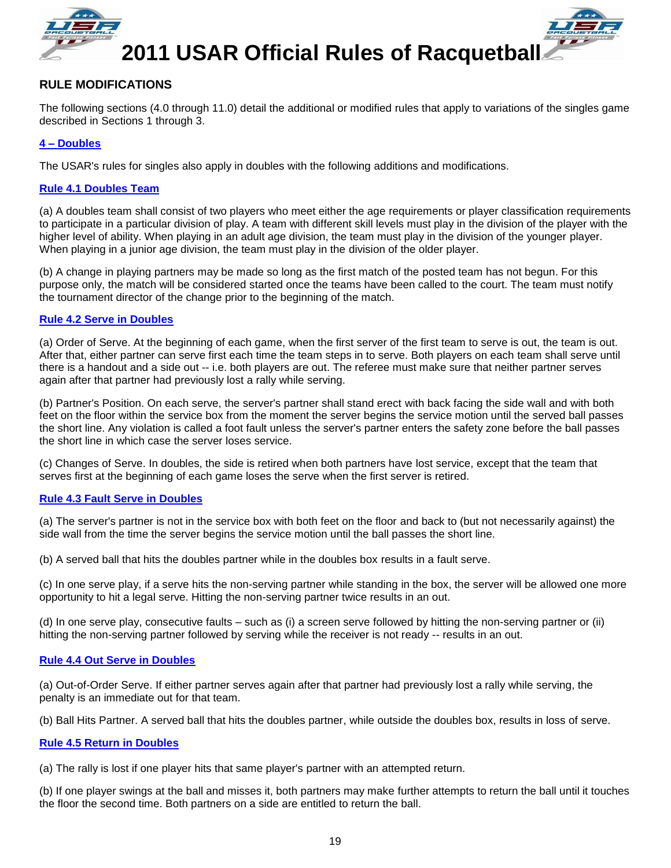

# **RULE MODIFICATIONS**

The following sections (4.0 through 11.0) detail the additional or modified rules that apply to variations of the singles game described in Sections 1 through 3.

# <span id="page-18-0"></span>**4 – [Doubles](#page-0-30)**

The USAR's rules for singles also apply in doubles with the following additions and modifications.

# <span id="page-18-1"></span>**[Rule 4.1 Doubles Team](#page-0-31)**

(a) A doubles team shall consist of two players who meet either the age requirements or player classification requirements to participate in a particular division of play. A team with different skill levels must play in the division of the player with the higher level of ability. When playing in an adult age division, the team must play in the division of the younger player. When playing in a junior age division, the team must play in the division of the older player.

(b) A change in playing partners may be made so long as the first match of the posted team has not begun. For this purpose only, the match will be considered started once the teams have been called to the court. The team must notify the tournament director of the change prior to the beginning of the match.

### <span id="page-18-2"></span>**[Rule 4.2 Serve in Doubles](#page-0-32)**

(a) Order of Serve. At the beginning of each game, when the first server of the first team to serve is out, the team is out. After that, either partner can serve first each time the team steps in to serve. Both players on each team shall serve until there is a handout and a side out -- i.e. both players are out. The referee must make sure that neither partner serves again after that partner had previously lost a rally while serving.

(b) Partner's Position. On each serve, the server's partner shall stand erect with back facing the side wall and with both feet on the floor within the service box from the moment the server begins the service motion until the served ball passes the short line. Any violation is called a foot fault unless the server's partner enters the safety zone before the ball passes the short line in which case the server loses service.

(c) Changes of Serve. In doubles, the side is retired when both partners have lost service, except that the team that serves first at the beginning of each game loses the serve when the first server is retired.

#### <span id="page-18-3"></span>**[Rule 4.3 Fault Serve in Doubles](#page-0-33)**

(a) The server's partner is not in the service box with both feet on the floor and back to (but not necessarily against) the side wall from the time the server begins the service motion until the ball passes the short line.

(b) A served ball that hits the doubles partner while in the doubles box results in a fault serve.

(c) In one serve play, if a serve hits the non-serving partner while standing in the box, the server will be allowed one more opportunity to hit a legal serve. Hitting the non-serving partner twice results in an out.

(d) In one serve play, consecutive faults – such as (i) a screen serve followed by hitting the non-serving partner or (ii) hitting the non-serving partner followed by serving while the receiver is not ready -- results in an out.

# <span id="page-18-4"></span>**[Rule 4.4 Out Serve in Doubles](#page-0-34)**

(a) Out-of-Order Serve. If either partner serves again after that partner had previously lost a rally while serving, the penalty is an immediate out for that team.

(b) Ball Hits Partner. A served ball that hits the doubles partner, while outside the doubles box, results in loss of serve.

#### <span id="page-18-5"></span>**[Rule 4.5 Return in Doubles](#page-0-35)**

(a) The rally is lost if one player hits that same player's partner with an attempted return.

(b) If one player swings at the ball and misses it, both partners may make further attempts to return the ball until it touches the floor the second time. Both partners on a side are entitled to return the ball.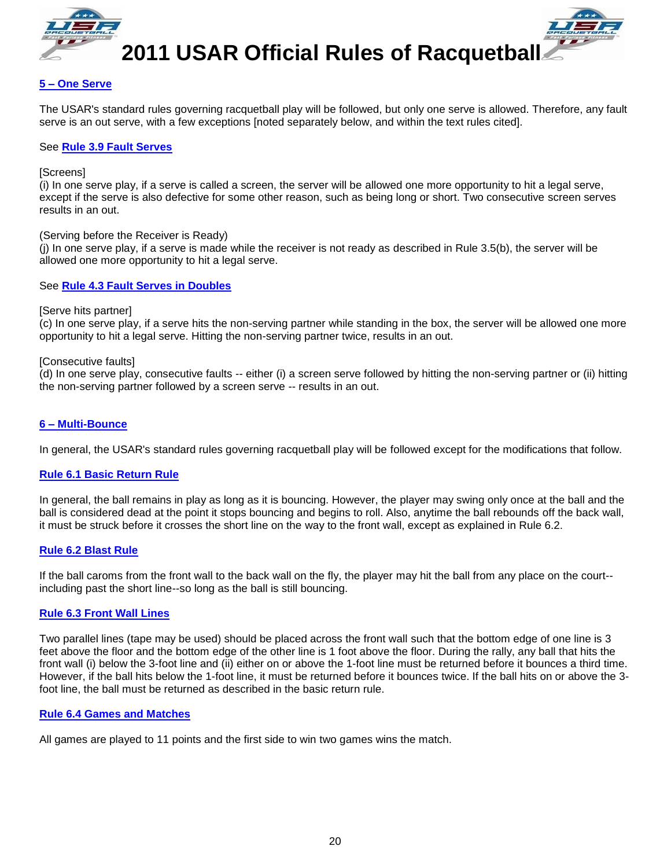

# <span id="page-19-0"></span>**5 – [One Serve](#page-0-36)**

The USAR's standard rules governing racquetball play will be followed, but only one serve is allowed. Therefore, any fault serve is an out serve, with a few exceptions [noted separately below, and within the text rules cited].

# See **[Rule 3.9 Fault](#page-10-0) Serves**

# [Screens]

(i) In one serve play, if a serve is called a screen, the server will be allowed one more opportunity to hit a legal serve, except if the serve is also defective for some other reason, such as being long or short. Two consecutive screen serves results in an out.

### (Serving before the Receiver is Ready)

(j) In one serve play, if a serve is made while the receiver is not ready as described in Rule 3.5(b), the server will be allowed one more opportunity to hit a legal serve.

### See **[Rule 4.3 Fault](#page-18-3) Serves in Doubles**

### [Serve hits partner]

(c) In one serve play, if a serve hits the non-serving partner while standing in the box, the server will be allowed one more opportunity to hit a legal serve. Hitting the non-serving partner twice, results in an out.

### [Consecutive faults]

(d) In one serve play, consecutive faults -- either (i) a screen serve followed by hitting the non-serving partner or (ii) hitting the non-serving partner followed by a screen serve -- results in an out.

# <span id="page-19-1"></span>**6 – [Multi-Bounce](#page-0-37)**

In general, the USAR's standard rules governing racquetball play will be followed except for the modifications that follow.

# <span id="page-19-2"></span>**[Rule 6.1 Basic Return Rule](#page-0-38)**

In general, the ball remains in play as long as it is bouncing. However, the player may swing only once at the ball and the ball is considered dead at the point it stops bouncing and begins to roll. Also, anytime the ball rebounds off the back wall, it must be struck before it crosses the short line on the way to the front wall, except as explained in Rule 6.2.

# <span id="page-19-3"></span>**[Rule 6.2 Blast Rule](#page-0-39)**

If the ball caroms from the front wall to the back wall on the fly, the player may hit the ball from any place on the court- including past the short line--so long as the ball is still bouncing.

#### <span id="page-19-4"></span>**[Rule 6.3 Front Wall Lines](#page-0-40)**

Two parallel lines (tape may be used) should be placed across the front wall such that the bottom edge of one line is 3 feet above the floor and the bottom edge of the other line is 1 foot above the floor. During the rally, any ball that hits the front wall (i) below the 3-foot line and (ii) either on or above the 1-foot line must be returned before it bounces a third time. However, if the ball hits below the 1-foot line, it must be returned before it bounces twice. If the ball hits on or above the 3 foot line, the ball must be returned as described in the basic return rule.

# <span id="page-19-5"></span>**[Rule 6.4 Games and Matches](#page-0-41)**

<span id="page-19-6"></span>All games are played to 11 points and the first side to win two games wins the match.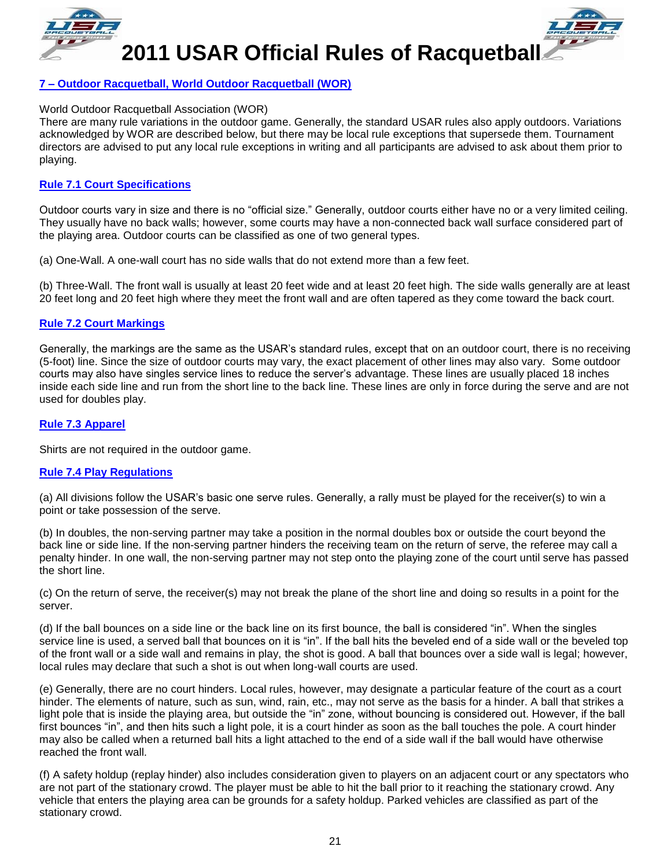

# <span id="page-20-4"></span>**7 – [Outdoor Racquetball, World Outdoor Racquetball \(WOR\)](#page-0-42)**

### World Outdoor Racquetball Association (WOR)

There are many rule variations in the outdoor game. Generally, the standard USAR rules also apply outdoors. Variations acknowledged by WOR are described below, but there may be local rule exceptions that supersede them. Tournament directors are advised to put any local rule exceptions in writing and all participants are advised to ask about them prior to playing.

# <span id="page-20-0"></span>**Rule 7.1 Court [Specifications](#page-0-43)**

Outdoor courts vary in size and there is no "official size." Generally, outdoor courts either have no or a very limited ceiling. They usually have no back walls; however, some courts may have a non-connected back wall surface considered part of the playing area. Outdoor courts can be classified as one of two general types.

(a) One-Wall. A one-wall court has no side walls that do not extend more than a few feet.

(b) Three-Wall. The front wall is usually at least 20 feet wide and at least 20 feet high. The side walls generally are at least 20 feet long and 20 feet high where they meet the front wall and are often tapered as they come toward the back court.

# <span id="page-20-1"></span>**[Rule 7.2 Court](#page-0-44) Markings**

Generally, the markings are the same as the USAR"s standard rules, except that on an outdoor court, there is no receiving (5-foot) line. Since the size of outdoor courts may vary, the exact placement of other lines may also vary. Some outdoor courts may also have singles service lines to reduce the server"s advantage. These lines are usually placed 18 inches inside each side line and run from the short line to the back line. These lines are only in force during the serve and are not used for doubles play.

# <span id="page-20-2"></span>**[Rule 7.3 Apparel](#page-0-45)**

Shirts are not required in the outdoor game.

# <span id="page-20-3"></span>**[Rule 7.4 Play](#page-0-46) Regulations**

(a) All divisions follow the USAR"s basic one serve rules. Generally, a rally must be played for the receiver(s) to win a point or take possession of the serve.

(b) In doubles, the non-serving partner may take a position in the normal doubles box or outside the court beyond the back line or side line. If the non-serving partner hinders the receiving team on the return of serve, the referee may call a penalty hinder. In one wall, the non-serving partner may not step onto the playing zone of the court until serve has passed the short line.

(c) On the return of serve, the receiver(s) may not break the plane of the short line and doing so results in a point for the server.

(d) If the ball bounces on a side line or the back line on its first bounce, the ball is considered "in". When the singles service line is used, a served ball that bounces on it is "in". If the ball hits the beveled end of a side wall or the beveled top of the front wall or a side wall and remains in play, the shot is good. A ball that bounces over a side wall is legal; however, local rules may declare that such a shot is out when long-wall courts are used.

(e) Generally, there are no court hinders. Local rules, however, may designate a particular feature of the court as a court hinder. The elements of nature, such as sun, wind, rain, etc., may not serve as the basis for a hinder. A ball that strikes a light pole that is inside the playing area, but outside the "in" zone, without bouncing is considered out. However, if the ball first bounces "in", and then hits such a light pole, it is a court hinder as soon as the ball touches the pole. A court hinder may also be called when a returned ball hits a light attached to the end of a side wall if the ball would have otherwise reached the front wall.

(f) A safety holdup (replay hinder) also includes consideration given to players on an adjacent court or any spectators who are not part of the stationary crowd. The player must be able to hit the ball prior to it reaching the stationary crowd. Any vehicle that enters the playing area can be grounds for a safety holdup. Parked vehicles are classified as part of the stationary crowd.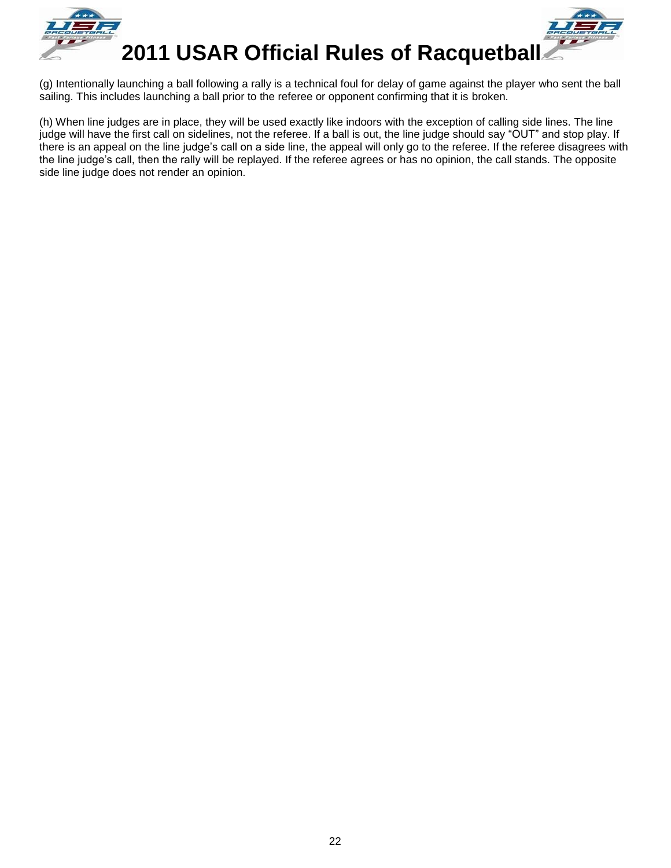

(g) Intentionally launching a ball following a rally is a technical foul for delay of game against the player who sent the ball sailing. This includes launching a ball prior to the referee or opponent confirming that it is broken.

(h) When line judges are in place, they will be used exactly like indoors with the exception of calling side lines. The line judge will have the first call on sidelines, not the referee. If a ball is out, the line judge should say "OUT" and stop play. If there is an appeal on the line judge"s call on a side line, the appeal will only go to the referee. If the referee disagrees with the line judge"s call, then the rally will be replayed. If the referee agrees or has no opinion, the call stands. The opposite side line judge does not render an opinion.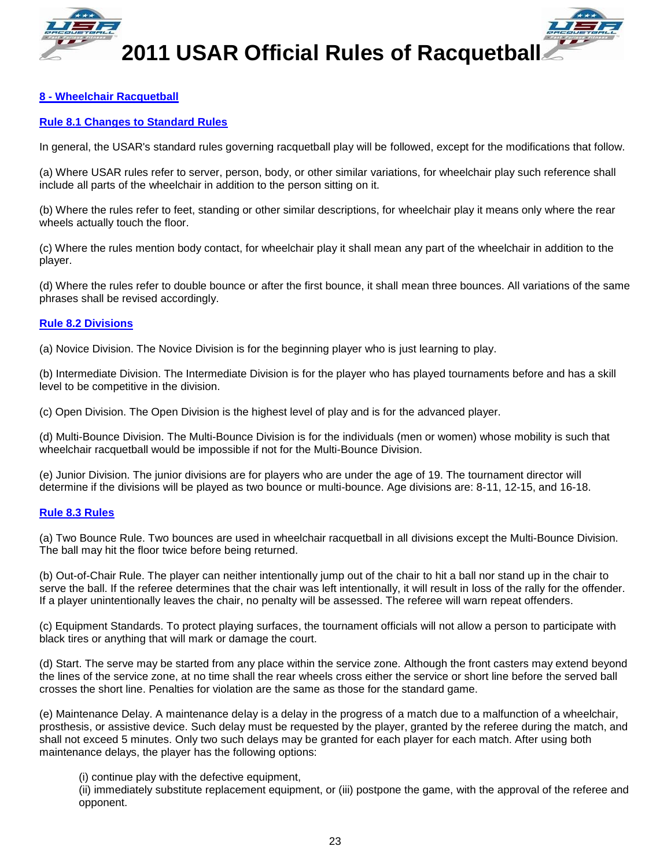

# <span id="page-22-0"></span>**8 - [Wheelchair Racquetball](#page-0-47)**

# <span id="page-22-1"></span>**[Rule 8.1 Changes](#page-1-0) to Standard Rules**

In general, the USAR's standard rules governing racquetball play will be followed, except for the modifications that follow.

(a) Where USAR rules refer to server, person, body, or other similar variations, for wheelchair play such reference shall include all parts of the wheelchair in addition to the person sitting on it.

(b) Where the rules refer to feet, standing or other similar descriptions, for wheelchair play it means only where the rear wheels actually touch the floor.

(c) Where the rules mention body contact, for wheelchair play it shall mean any part of the wheelchair in addition to the player.

(d) Where the rules refer to double bounce or after the first bounce, it shall mean three bounces. All variations of the same phrases shall be revised accordingly.

# <span id="page-22-2"></span>**[Rule 8.2 Divisions](#page-1-1)**

(a) Novice Division. The Novice Division is for the beginning player who is just learning to play.

(b) Intermediate Division. The Intermediate Division is for the player who has played tournaments before and has a skill level to be competitive in the division.

(c) Open Division. The Open Division is the highest level of play and is for the advanced player.

(d) Multi-Bounce Division. The Multi-Bounce Division is for the individuals (men or women) whose mobility is such that wheelchair racquetball would be impossible if not for the Multi-Bounce Division.

(e) Junior Division. The junior divisions are for players who are under the age of 19. The tournament director will determine if the divisions will be played as two bounce or multi-bounce. Age divisions are: 8-11, 12-15, and 16-18.

# <span id="page-22-3"></span>**[Rule 8.3 Rules](#page-1-2)**

(a) Two Bounce Rule. Two bounces are used in wheelchair racquetball in all divisions except the Multi-Bounce Division. The ball may hit the floor twice before being returned.

(b) Out-of-Chair Rule. The player can neither intentionally jump out of the chair to hit a ball nor stand up in the chair to serve the ball. If the referee determines that the chair was left intentionally, it will result in loss of the rally for the offender. If a player unintentionally leaves the chair, no penalty will be assessed. The referee will warn repeat offenders.

(c) Equipment Standards. To protect playing surfaces, the tournament officials will not allow a person to participate with black tires or anything that will mark or damage the court.

(d) Start. The serve may be started from any place within the service zone. Although the front casters may extend beyond the lines of the service zone, at no time shall the rear wheels cross either the service or short line before the served ball crosses the short line. Penalties for violation are the same as those for the standard game.

(e) Maintenance Delay. A maintenance delay is a delay in the progress of a match due to a malfunction of a wheelchair, prosthesis, or assistive device. Such delay must be requested by the player, granted by the referee during the match, and shall not exceed 5 minutes. Only two such delays may be granted for each player for each match. After using both maintenance delays, the player has the following options:

# (i) continue play with the defective equipment,

(ii) immediately substitute replacement equipment, or (iii) postpone the game, with the approval of the referee and opponent.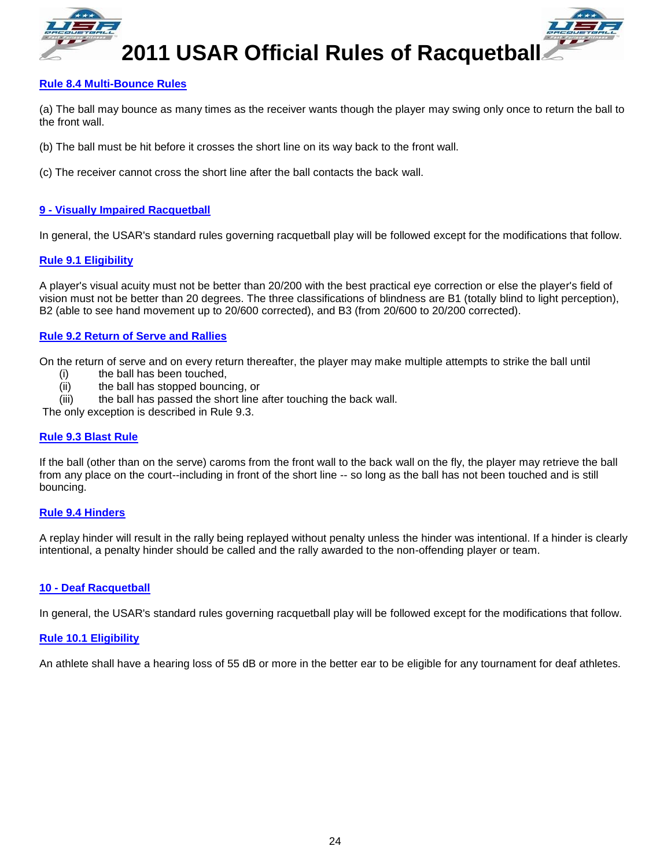

# <span id="page-23-0"></span>**[Rule 8.4 Multi-Bounce Rules](#page-1-3)**

(a) The ball may bounce as many times as the receiver wants though the player may swing only once to return the ball to the front wall.

(b) The ball must be hit before it crosses the short line on its way back to the front wall.

(c) The receiver cannot cross the short line after the ball contacts the back wall.

# <span id="page-23-1"></span>**9 - [Visually Impaired Racquetball](#page-1-4)**

In general, the USAR's standard rules governing racquetball play will be followed except for the modifications that follow.

# <span id="page-23-2"></span>**[Rule 9.1 Eligibility](#page-1-5)**

A player's visual acuity must not be better than 20/200 with the best practical eye correction or else the player's field of vision must not be better than 20 degrees. The three classifications of blindness are B1 (totally blind to light perception), B2 (able to see hand movement up to 20/600 corrected), and B3 (from 20/600 to 20/200 corrected).

# <span id="page-23-3"></span>**[Rule 9.2 Return](#page-1-6) of Serve and Rallies**

On the return of serve and on every return thereafter, the player may make multiple attempts to strike the ball until

- (i) the ball has been touched,
- (ii) the ball has stopped bouncing, or
- (iii) the ball has passed the short line after touching the back wall.

The only exception is described in Rule 9.3.

### <span id="page-23-4"></span>**[Rule 9.3 Blast](#page-1-7) Rule**

If the ball (other than on the serve) caroms from the front wall to the back wall on the fly, the player may retrieve the ball from any place on the court--including in front of the short line -- so long as the ball has not been touched and is still bouncing.

# <span id="page-23-5"></span>**[Rule 9.4 Hinders](#page-1-8)**

A replay hinder will result in the rally being replayed without penalty unless the hinder was intentional. If a hinder is clearly intentional, a penalty hinder should be called and the rally awarded to the non-offending player or team.

# <span id="page-23-6"></span>**10 - [Deaf Racquetball](#page-1-9)**

In general, the USAR's standard rules governing racquetball play will be followed except for the modifications that follow.

# <span id="page-23-7"></span>**[Rule 10.1 Eligibility](#page-1-10)**

An athlete shall have a hearing loss of 55 dB or more in the better ear to be eligible for any tournament for deaf athletes.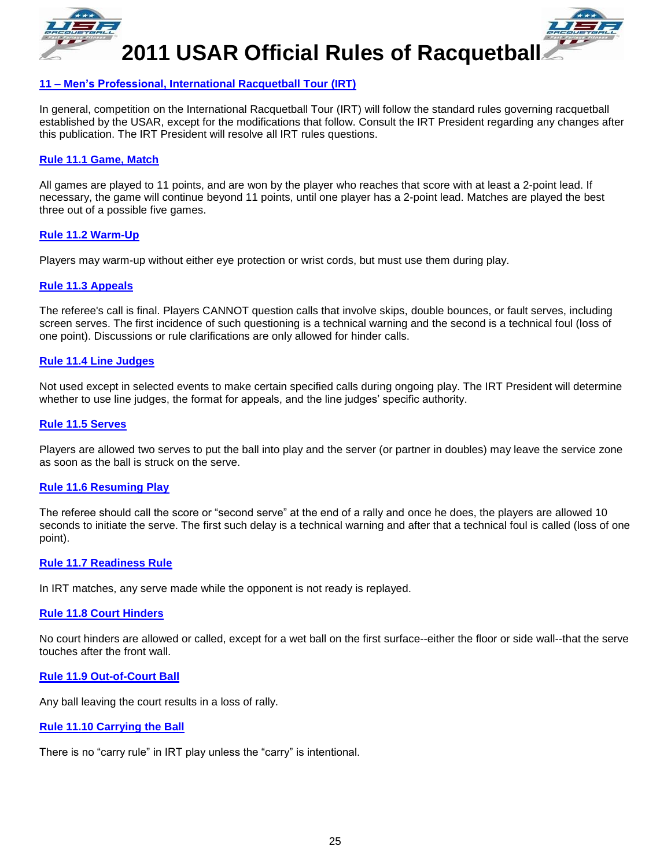

# <span id="page-24-0"></span>**11 – [Men"s Professional, International Racquetball Tour](#page-1-11) (IRT)**

In general, competition on the International Racquetball Tour (IRT) will follow the standard rules governing racquetball established by the USAR, except for the modifications that follow. Consult the IRT President regarding any changes after this publication. The IRT President will resolve all IRT rules questions.

# <span id="page-24-1"></span>**[Rule 11.1 Game, Match](#page-1-12)**

All games are played to 11 points, and are won by the player who reaches that score with at least a 2-point lead. If necessary, the game will continue beyond 11 points, until one player has a 2-point lead. Matches are played the best three out of a possible five games.

# <span id="page-24-2"></span>**[Rule 11.2 Warm-Up](#page-1-13)**

Players may warm-up without either eye protection or wrist cords, but must use them during play.

# <span id="page-24-3"></span>**[Rule 11.3 Appeals](#page-1-14)**

The referee's call is final. Players CANNOT question calls that involve skips, double bounces, or fault serves, including screen serves. The first incidence of such questioning is a technical warning and the second is a technical foul (loss of one point). Discussions or rule clarifications are only allowed for hinder calls.

### <span id="page-24-4"></span>**[Rule 11.4 Line](#page-1-15) Judges**

Not used except in selected events to make certain specified calls during ongoing play. The IRT President will determine whether to use line judges, the format for appeals, and the line judges" specific authority.

# <span id="page-24-5"></span>**[Rule 11.5 Serves](#page-1-16)**

Players are allowed two serves to put the ball into play and the server (or partner in doubles) may leave the service zone as soon as the ball is struck on the serve.

# <span id="page-24-6"></span>**[Rule 11.6 Resuming](#page-1-17) Play**

The referee should call the score or "second serve" at the end of a rally and once he does, the players are allowed 10 seconds to initiate the serve. The first such delay is a technical warning and after that a technical foul is called (loss of one point).

# <span id="page-24-7"></span>**[Rule 11.7 Readiness](#page-1-18) Rule**

In IRT matches, any serve made while the opponent is not ready is replayed.

#### <span id="page-24-8"></span>**[Rule 11.8 Court](#page-1-19) Hinders**

No court hinders are allowed or called, except for a wet ball on the first surface--either the floor or side wall--that the serve touches after the front wall.

#### <span id="page-24-9"></span>**[Rule 11.9 Out-of-Court](#page-1-20) Ball**

Any ball leaving the court results in a loss of rally.

#### <span id="page-24-10"></span>**[Rule 11.10 Carrying](#page-1-21) the Ball**

There is no "carry rule" in IRT play unless the "carry" is intentional.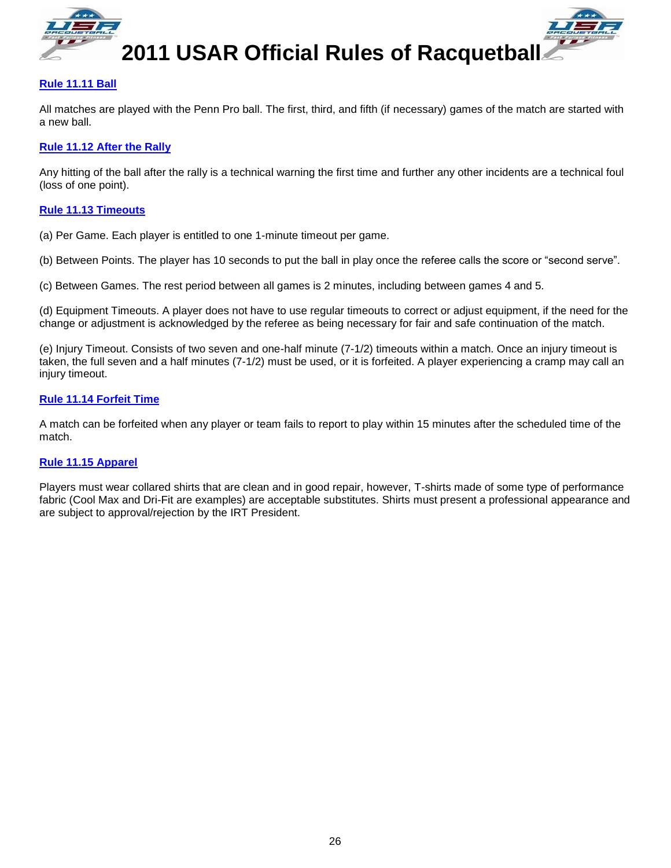

# <span id="page-25-0"></span>**[Rule 11.11 Ball](#page-1-22)**

All matches are played with the Penn Pro ball. The first, third, and fifth (if necessary) games of the match are started with a new ball.

# <span id="page-25-1"></span>**[Rule 11.12 After](#page-1-23) the Rally**

Any hitting of the ball after the rally is a technical warning the first time and further any other incidents are a technical foul (loss of one point).

# <span id="page-25-2"></span>**[Rule 11.13 Timeouts](#page-1-24)**

(a) Per Game. Each player is entitled to one 1-minute timeout per game.

(b) Between Points. The player has 10 seconds to put the ball in play once the referee calls the score or "second serve".

(c) Between Games. The rest period between all games is 2 minutes, including between games 4 and 5.

(d) Equipment Timeouts. A player does not have to use regular timeouts to correct or adjust equipment, if the need for the change or adjustment is acknowledged by the referee as being necessary for fair and safe continuation of the match.

(e) Injury Timeout. Consists of two seven and one-half minute (7-1/2) timeouts within a match. Once an injury timeout is taken, the full seven and a half minutes (7-1/2) must be used, or it is forfeited. A player experiencing a cramp may call an injury timeout.

# <span id="page-25-3"></span>**[Rule 11.14 Forfeit](#page-1-25) Time**

A match can be forfeited when any player or team fails to report to play within 15 minutes after the scheduled time of the match.

# <span id="page-25-4"></span>**[Rule 11.15 Apparel](#page-1-26)**

Players must wear collared shirts that are clean and in good repair, however, T-shirts made of some type of performance fabric (Cool Max and Dri-Fit are examples) are acceptable substitutes. Shirts must present a professional appearance and are subject to approval/rejection by the IRT President.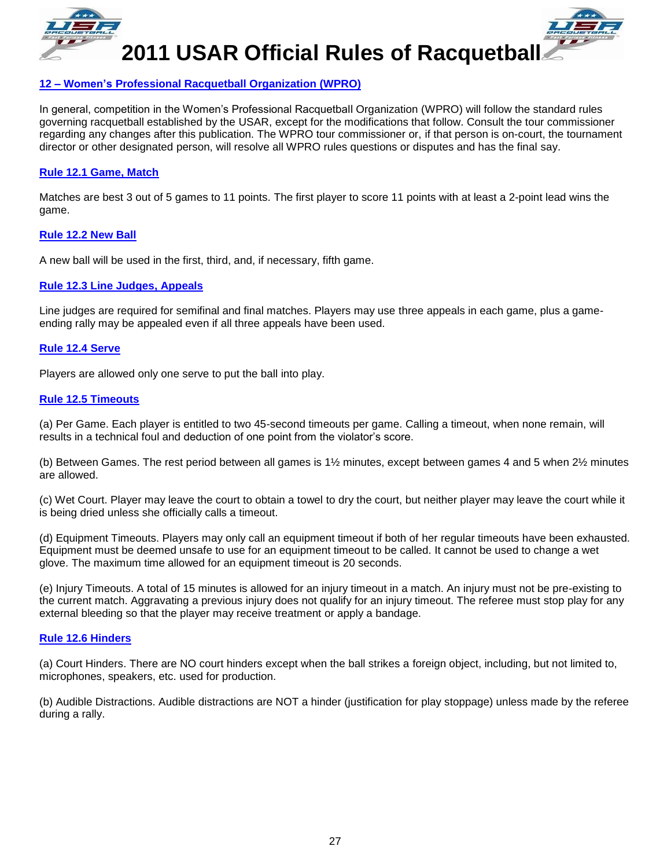

# <span id="page-26-0"></span>**12 – Women"s Professional Racquetball [Organization \(WPRO\)](#page-1-27)**

In general, competition in the Women"s Professional Racquetball Organization (WPRO) will follow the standard rules governing racquetball established by the USAR, except for the modifications that follow. Consult the tour commissioner regarding any changes after this publication. The WPRO tour commissioner or, if that person is on-court, the tournament director or other designated person, will resolve all WPRO rules questions or disputes and has the final say.

# <span id="page-26-1"></span>**[Rule 12.1 Game, Match](#page-1-28)**

Matches are best 3 out of 5 games to 11 points. The first player to score 11 points with at least a 2-point lead wins the game.

# <span id="page-26-2"></span>**[Rule 12.2 New Ball](#page-1-29)**

A new ball will be used in the first, third, and, if necessary, fifth game.

# <span id="page-26-3"></span>**Rule 12.3 Line [Judges, Appeals](#page-1-30)**

Line judges are required for semifinal and final matches. Players may use three appeals in each game, plus a gameending rally may be appealed even if all three appeals have been used.

# <span id="page-26-4"></span>**[Rule 12.4 Serve](#page-1-31)**

Players are allowed only one serve to put the ball into play.

#### <span id="page-26-5"></span>**[Rule 12.5 Timeouts](#page-1-32)**

(a) Per Game. Each player is entitled to two 45-second timeouts per game. Calling a timeout, when none remain, will results in a technical foul and deduction of one point from the violator"s score.

(b) Between Games. The rest period between all games is  $1\frac{1}{2}$  minutes, except between games 4 and 5 when  $2\frac{1}{2}$  minutes are allowed.

(c) Wet Court. Player may leave the court to obtain a towel to dry the court, but neither player may leave the court while it is being dried unless she officially calls a timeout.

(d) Equipment Timeouts. Players may only call an equipment timeout if both of her regular timeouts have been exhausted. Equipment must be deemed unsafe to use for an equipment timeout to be called. It cannot be used to change a wet glove. The maximum time allowed for an equipment timeout is 20 seconds.

(e) Injury Timeouts. A total of 15 minutes is allowed for an injury timeout in a match. An injury must not be pre-existing to the current match. Aggravating a previous injury does not qualify for an injury timeout. The referee must stop play for any external bleeding so that the player may receive treatment or apply a bandage.

#### <span id="page-26-6"></span>**[Rule 12.6 Hinders](#page-1-33)**

(a) Court Hinders. There are NO court hinders except when the ball strikes a foreign object, including, but not limited to, microphones, speakers, etc. used for production.

(b) Audible Distractions. Audible distractions are NOT a hinder (justification for play stoppage) unless made by the referee during a rally.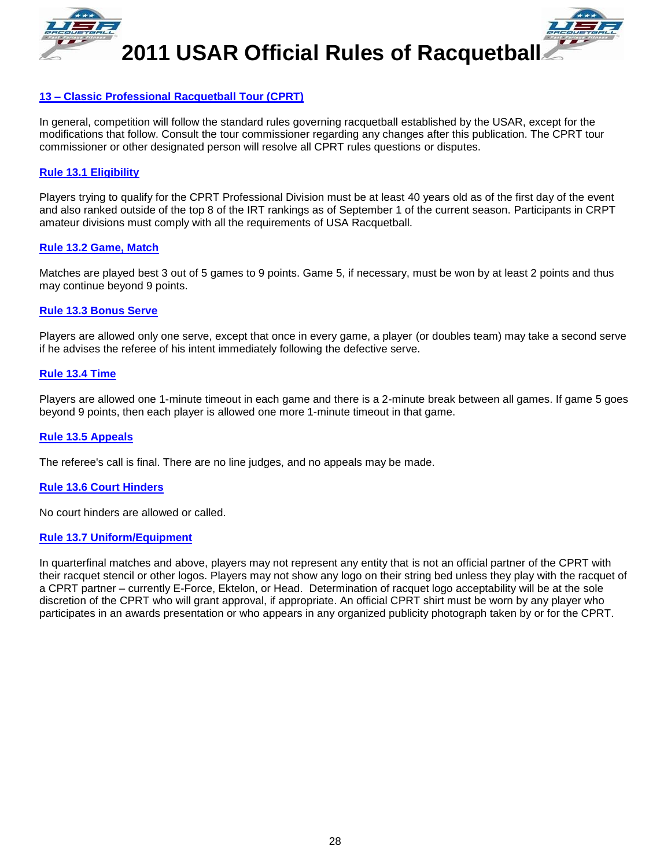

# <span id="page-27-0"></span>**13 – Classic [Professional](#page-1-34) Racquetball Tour (CPRT)**

In general, competition will follow the standard rules governing racquetball established by the USAR, except for the modifications that follow. Consult the tour commissioner regarding any changes after this publication. The CPRT tour commissioner or other designated person will resolve all CPRT rules questions or disputes.

### <span id="page-27-1"></span>**[Rule 13.1 Eligibility](#page-1-35)**

Players trying to qualify for the CPRT Professional Division must be at least 40 years old as of the first day of the event and also ranked outside of the top 8 of the IRT rankings as of September 1 of the current season. Participants in CRPT amateur divisions must comply with all the requirements of USA Racquetball.

# <span id="page-27-2"></span>**[Rule 13.2 Game, Match](#page-1-36)**

Matches are played best 3 out of 5 games to 9 points. Game 5, if necessary, must be won by at least 2 points and thus may continue beyond 9 points.

### <span id="page-27-3"></span>**[Rule 13.3 Bonus](#page-1-37) Serve**

Players are allowed only one serve, except that once in every game, a player (or doubles team) may take a second serve if he advises the referee of his intent immediately following the defective serve.

# <span id="page-27-4"></span>**[Rule 13.4 Time](#page-1-38)**

Players are allowed one 1-minute timeout in each game and there is a 2-minute break between all games. If game 5 goes beyond 9 points, then each player is allowed one more 1-minute timeout in that game.

#### <span id="page-27-5"></span>**[Rule 13.5 Appeals](#page-1-39)**

The referee's call is final. There are no line judges, and no appeals may be made.

#### <span id="page-27-6"></span>**[Rule 13.6 Court](#page-1-40) Hinders**

No court hinders are allowed or called.

#### <span id="page-27-7"></span>**[Rule 13.7 Uniform/Equipment](#page-1-41)**

In quarterfinal matches and above, players may not represent any entity that is not an official partner of the CPRT with their racquet stencil or other logos. Players may not show any logo on their string bed unless they play with the racquet of a CPRT partner – currently E-Force, Ektelon, or Head. Determination of racquet logo acceptability will be at the sole discretion of the CPRT who will grant approval, if appropriate. An official CPRT shirt must be worn by any player who participates in an awards presentation or who appears in any organized publicity photograph taken by or for the CPRT.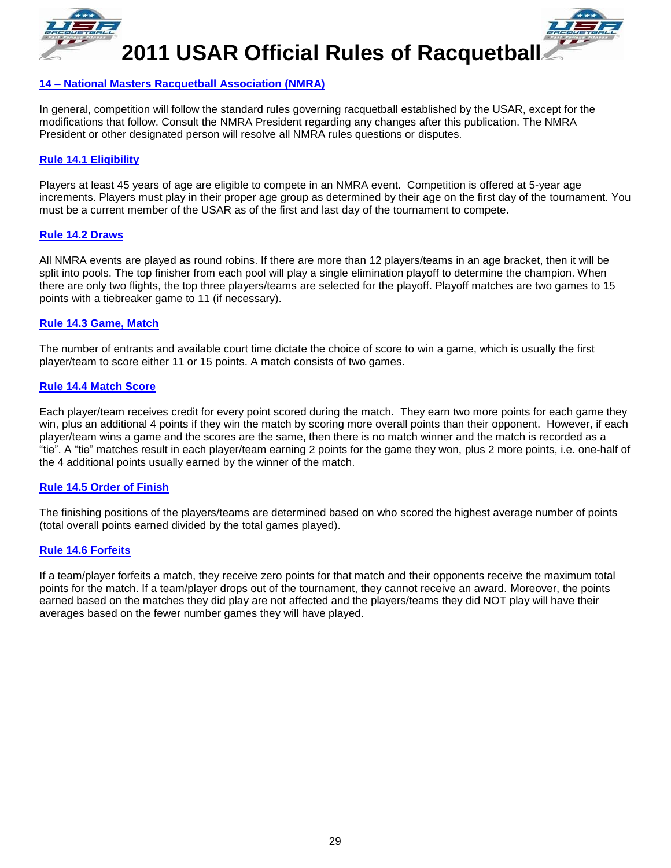

# <span id="page-28-0"></span>**14 – National Masters [Racquetball](#page-1-42) Association (NMRA)**

In general, competition will follow the standard rules governing racquetball established by the USAR, except for the modifications that follow. Consult the NMRA President regarding any changes after this publication. The NMRA President or other designated person will resolve all NMRA rules questions or disputes.

# <span id="page-28-1"></span>**[Rule 14.1 Eligibility](#page-1-43)**

Players at least 45 years of age are eligible to compete in an NMRA event. Competition is offered at 5-year age increments. Players must play in their proper age group as determined by their age on the first day of the tournament. You must be a current member of the USAR as of the first and last day of the tournament to compete.

# <span id="page-28-2"></span>**[Rule 14.2 Draws](#page-1-44)**

All NMRA events are played as round robins. If there are more than 12 players/teams in an age bracket, then it will be split into pools. The top finisher from each pool will play a single elimination playoff to determine the champion. When there are only two flights, the top three players/teams are selected for the playoff. Playoff matches are two games to 15 points with a tiebreaker game to 11 (if necessary).

# <span id="page-28-3"></span>**[Rule 14.3 Game, Match](#page-1-45)**

The number of entrants and available court time dictate the choice of score to win a game, which is usually the first player/team to score either 11 or 15 points. A match consists of two games.

# <span id="page-28-4"></span>**[Rule 14.4 Match](#page-1-46) Score**

Each player/team receives credit for every point scored during the match. They earn two more points for each game they win, plus an additional 4 points if they win the match by scoring more overall points than their opponent. However, if each player/team wins a game and the scores are the same, then there is no match winner and the match is recorded as a "tie". A "tie" matches result in each player/team earning 2 points for the game they won, plus 2 more points, i.e. one-half of the 4 additional points usually earned by the winner of the match.

# <span id="page-28-5"></span>**[Rule 14.5 Order](#page-1-47) of Finish**

The finishing positions of the players/teams are determined based on who scored the highest average number of points (total overall points earned divided by the total games played).

# <span id="page-28-6"></span>**[Rule 14.6 Forfeits](#page-1-48)**

If a team/player forfeits a match, they receive zero points for that match and their opponents receive the maximum total points for the match. If a team/player drops out of the tournament, they cannot receive an award. Moreover, the points earned based on the matches they did play are not affected and the players/teams they did NOT play will have their averages based on the fewer number games they will have played.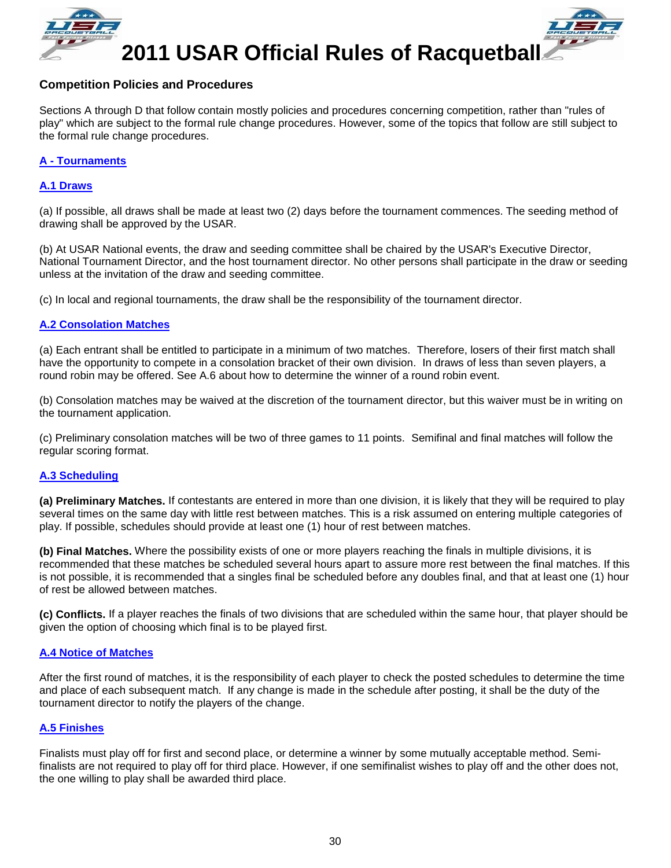

# **Competition Policies and Procedures**

Sections A through D that follow contain mostly policies and procedures concerning competition, rather than "rules of play" which are subject to the formal rule change procedures. However, some of the topics that follow are still subject to the formal rule change procedures.

# <span id="page-29-0"></span>**A - [Tournaments](#page-2-0)**

# <span id="page-29-1"></span>**[A.1 Draws](#page-2-1)**

(a) If possible, all draws shall be made at least two (2) days before the tournament commences. The seeding method of drawing shall be approved by the USAR.

(b) At USAR National events, the draw and seeding committee shall be chaired by the USAR's Executive Director, National Tournament Director, and the host tournament director. No other persons shall participate in the draw or seeding unless at the invitation of the draw and seeding committee.

(c) In local and regional tournaments, the draw shall be the responsibility of the tournament director.

# <span id="page-29-2"></span>**[A.2 Consolation](#page-2-2) Matches**

(a) Each entrant shall be entitled to participate in a minimum of two matches. Therefore, losers of their first match shall have the opportunity to compete in a consolation bracket of their own division. In draws of less than seven players, a round robin may be offered. See A.6 about how to determine the winner of a round robin event.

(b) Consolation matches may be waived at the discretion of the tournament director, but this waiver must be in writing on the tournament application.

(c) Preliminary consolation matches will be two of three games to 11 points. Semifinal and final matches will follow the regular scoring format.

# <span id="page-29-3"></span>**[A.3 Scheduling](#page-2-3)**

**(a) Preliminary Matches.** If contestants are entered in more than one division, it is likely that they will be required to play several times on the same day with little rest between matches. This is a risk assumed on entering multiple categories of play. If possible, schedules should provide at least one (1) hour of rest between matches.

**(b) Final Matches.** Where the possibility exists of one or more players reaching the finals in multiple divisions, it is recommended that these matches be scheduled several hours apart to assure more rest between the final matches. If this is not possible, it is recommended that a singles final be scheduled before any doubles final, and that at least one (1) hour of rest be allowed between matches.

**(c) Conflicts.** If a player reaches the finals of two divisions that are scheduled within the same hour, that player should be given the option of choosing which final is to be played first.

# <span id="page-29-4"></span>**[A.4 Notice](#page-2-4) of Matches**

After the first round of matches, it is the responsibility of each player to check the posted schedules to determine the time and place of each subsequent match. If any change is made in the schedule after posting, it shall be the duty of the tournament director to notify the players of the change.

# <span id="page-29-5"></span>**[A.5 Finishes](#page-2-5)**

Finalists must play off for first and second place, or determine a winner by some mutually acceptable method. Semifinalists are not required to play off for third place. However, if one semifinalist wishes to play off and the other does not, the one willing to play shall be awarded third place.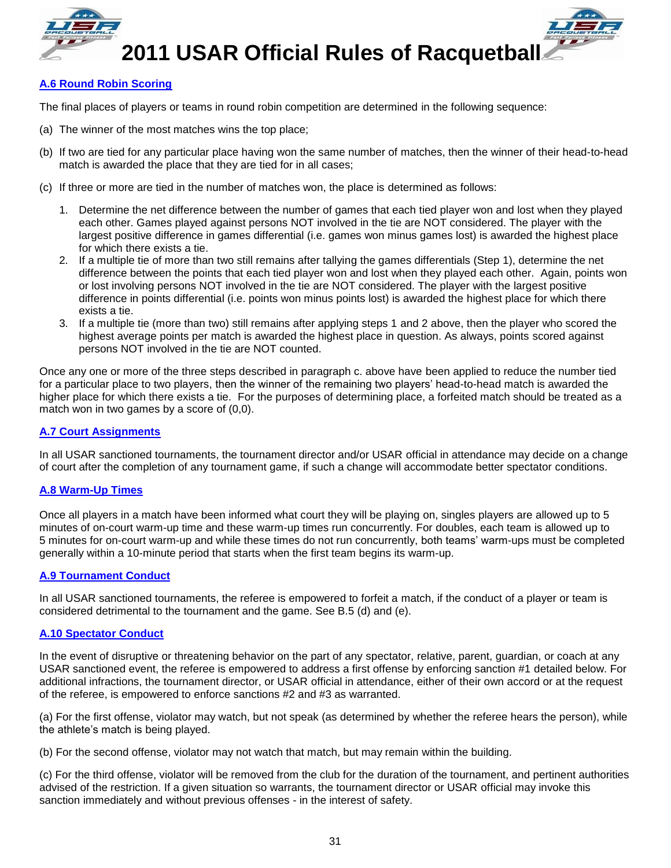**2011 USAR Official Rules of Racquetball**

# <span id="page-30-0"></span>**[A.6 Round](#page-2-6) Robin Scoring**

The final places of players or teams in round robin competition are determined in the following sequence:

- (a) The winner of the most matches wins the top place;
- (b) If two are tied for any particular place having won the same number of matches, then the winner of their head-to-head match is awarded the place that they are tied for in all cases;
- (c) If three or more are tied in the number of matches won, the place is determined as follows:
	- 1. Determine the net difference between the number of games that each tied player won and lost when they played each other. Games played against persons NOT involved in the tie are NOT considered. The player with the largest positive difference in games differential (i.e. games won minus games lost) is awarded the highest place for which there exists a tie.
	- 2. If a multiple tie of more than two still remains after tallying the games differentials (Step 1), determine the net difference between the points that each tied player won and lost when they played each other. Again, points won or lost involving persons NOT involved in the tie are NOT considered. The player with the largest positive difference in points differential (i.e. points won minus points lost) is awarded the highest place for which there exists a tie.
	- 3. If a multiple tie (more than two) still remains after applying steps 1 and 2 above, then the player who scored the highest average points per match is awarded the highest place in question. As always, points scored against persons NOT involved in the tie are NOT counted.

Once any one or more of the three steps described in paragraph c. above have been applied to reduce the number tied for a particular place to two players, then the winner of the remaining two players" head-to-head match is awarded the higher place for which there exists a tie. For the purposes of determining place, a forfeited match should be treated as a match won in two games by a score of (0,0).

# <span id="page-30-1"></span>**A.7 Court [Assignments](#page-2-7)**

In all USAR sanctioned tournaments, the tournament director and/or USAR official in attendance may decide on a change of court after the completion of any tournament game, if such a change will accommodate better spectator conditions.

# <span id="page-30-2"></span>**[A.8 Warm-Up](#page-2-8) Times**

Once all players in a match have been informed what court they will be playing on, singles players are allowed up to 5 minutes of on-court warm-up time and these warm-up times run concurrently. For doubles, each team is allowed up to 5 minutes for on-court warm-up and while these times do not run concurrently, both teams" warm-ups must be completed generally within a 10-minute period that starts when the first team begins its warm-up.

# <span id="page-30-3"></span>**[A.9 Tournament](#page-2-9) Conduct**

In all USAR sanctioned tournaments, the referee is empowered to forfeit a match, if the conduct of a player or team is considered detrimental to the tournament and the game. See B.5 (d) and (e).

# <span id="page-30-4"></span>**[A.10 Spectator](#page-2-10) Conduct**

In the event of disruptive or threatening behavior on the part of any spectator, relative, parent, guardian, or coach at any USAR sanctioned event, the referee is empowered to address a first offense by enforcing sanction #1 detailed below. For additional infractions, the tournament director, or USAR official in attendance, either of their own accord or at the request of the referee, is empowered to enforce sanctions #2 and #3 as warranted.

(a) For the first offense, violator may watch, but not speak (as determined by whether the referee hears the person), while the athlete"s match is being played.

(b) For the second offense, violator may not watch that match, but may remain within the building.

(c) For the third offense, violator will be removed from the club for the duration of the tournament, and pertinent authorities advised of the restriction. If a given situation so warrants, the tournament director or USAR official may invoke this sanction immediately and without previous offenses - in the interest of safety.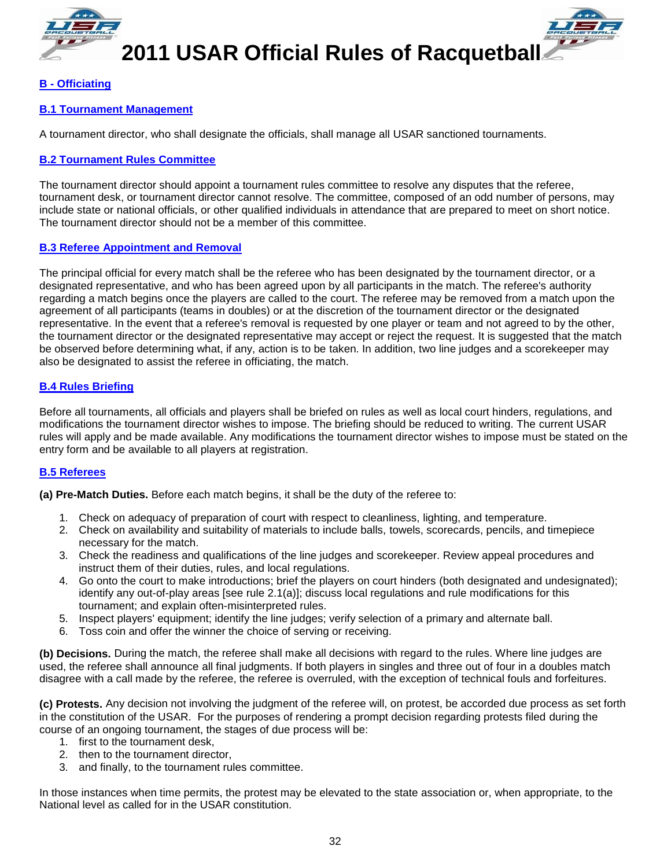

# <span id="page-31-0"></span>**B - [Officiating](#page-2-11)**

# <span id="page-31-1"></span>**[B.1 Tournament](#page-2-12) Management**

A tournament director, who shall designate the officials, shall manage all USAR sanctioned tournaments.

# <span id="page-31-2"></span>**[B.2 Tournament Rules](#page-2-13) Committee**

The tournament director should appoint a tournament rules committee to resolve any disputes that the referee, tournament desk, or tournament director cannot resolve. The committee, composed of an odd number of persons, may include state or national officials, or other qualified individuals in attendance that are prepared to meet on short notice. The tournament director should not be a member of this committee.

# <span id="page-31-3"></span>**B.3 Referee [Appointment](#page-2-14) and Removal**

The principal official for every match shall be the referee who has been designated by the tournament director, or a designated representative, and who has been agreed upon by all participants in the match. The referee's authority regarding a match begins once the players are called to the court. The referee may be removed from a match upon the agreement of all participants (teams in doubles) or at the discretion of the tournament director or the designated representative. In the event that a referee's removal is requested by one player or team and not agreed to by the other, the tournament director or the designated representative may accept or reject the request. It is suggested that the match be observed before determining what, if any, action is to be taken. In addition, two line judges and a scorekeeper may also be designated to assist the referee in officiating, the match.

# <span id="page-31-4"></span>**[B.4 Rules](#page-2-15) Briefing**

Before all tournaments, all officials and players shall be briefed on rules as well as local court hinders, regulations, and modifications the tournament director wishes to impose. The briefing should be reduced to writing. The current USAR rules will apply and be made available. Any modifications the tournament director wishes to impose must be stated on the entry form and be available to all players at registration.

# <span id="page-31-5"></span>**[B.5 Referees](#page-2-16)**

**(a) Pre-Match Duties.** Before each match begins, it shall be the duty of the referee to:

- 1. Check on adequacy of preparation of court with respect to cleanliness, lighting, and temperature.
- 2. Check on availability and suitability of materials to include balls, towels, scorecards, pencils, and timepiece necessary for the match.
- 3. Check the readiness and qualifications of the line judges and scorekeeper. Review appeal procedures and instruct them of their duties, rules, and local regulations.
- 4. Go onto the court to make introductions; brief the players on court hinders (both designated and undesignated); identify any out-of-play areas [see rule 2.1(a)]; discuss local regulations and rule modifications for this tournament; and explain often-misinterpreted rules.
- 5. Inspect players' equipment; identify the line judges; verify selection of a primary and alternate ball.
- 6. Toss coin and offer the winner the choice of serving or receiving.

**(b) Decisions.** During the match, the referee shall make all decisions with regard to the rules. Where line judges are used, the referee shall announce all final judgments. If both players in singles and three out of four in a doubles match disagree with a call made by the referee, the referee is overruled, with the exception of technical fouls and forfeitures.

**(c) Protests.** Any decision not involving the judgment of the referee will, on protest, be accorded due process as set forth in the constitution of the USAR. For the purposes of rendering a prompt decision regarding protests filed during the course of an ongoing tournament, the stages of due process will be:

- 1. first to the tournament desk,
- 2. then to the tournament director,
- 3. and finally, to the tournament rules committee.

In those instances when time permits, the protest may be elevated to the state association or, when appropriate, to the National level as called for in the USAR constitution.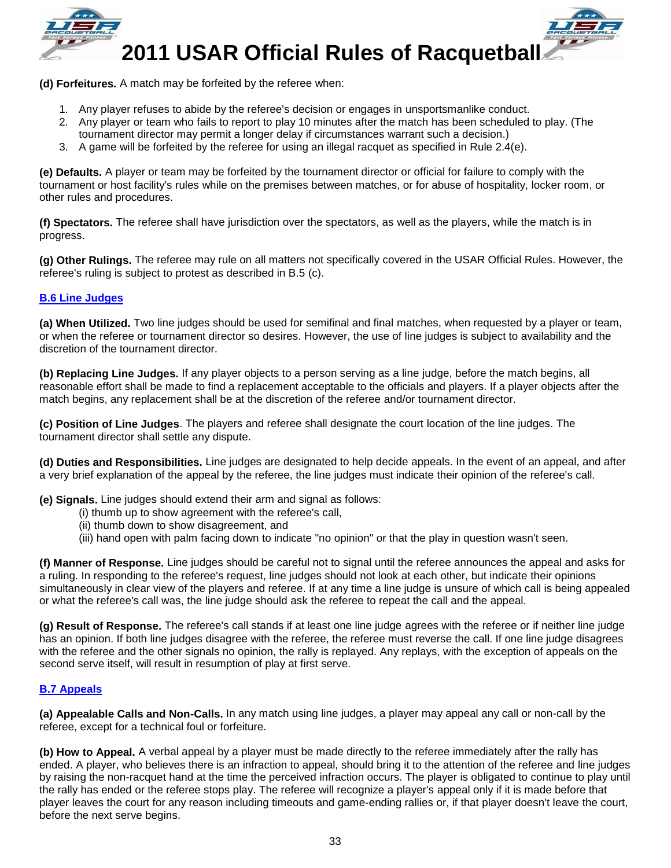

**(d) Forfeitures.** A match may be forfeited by the referee when:

- 1. Any player refuses to abide by the referee's decision or engages in unsportsmanlike conduct.
- 2. Any player or team who fails to report to play 10 minutes after the match has been scheduled to play. (The tournament director may permit a longer delay if circumstances warrant such a decision.)
- 3. A game will be forfeited by the referee for using an illegal racquet as specified in Rule 2.4(e).

**(e) Defaults.** A player or team may be forfeited by the tournament director or official for failure to comply with the tournament or host facility's rules while on the premises between matches, or for abuse of hospitality, locker room, or other rules and procedures.

**(f) Spectators.** The referee shall have jurisdiction over the spectators, as well as the players, while the match is in progress.

**(g) Other Rulings.** The referee may rule on all matters not specifically covered in the USAR Official Rules. However, the referee's ruling is subject to protest as described in B.5 (c).

# <span id="page-32-0"></span>**[B.6 Line](#page-2-17) Judges**

**(a) When Utilized.** Two line judges should be used for semifinal and final matches, when requested by a player or team, or when the referee or tournament director so desires. However, the use of line judges is subject to availability and the discretion of the tournament director.

**(b) Replacing Line Judges.** If any player objects to a person serving as a line judge, before the match begins, all reasonable effort shall be made to find a replacement acceptable to the officials and players. If a player objects after the match begins, any replacement shall be at the discretion of the referee and/or tournament director.

**(c) Position of Line Judges**. The players and referee shall designate the court location of the line judges. The tournament director shall settle any dispute.

**(d) Duties and Responsibilities.** Line judges are designated to help decide appeals. In the event of an appeal, and after a very brief explanation of the appeal by the referee, the line judges must indicate their opinion of the referee's call.

**(e) Signals.** Line judges should extend their arm and signal as follows:

- (i) thumb up to show agreement with the referee's call,
- (ii) thumb down to show disagreement, and
- (iii) hand open with palm facing down to indicate "no opinion" or that the play in question wasn't seen.

**(f) Manner of Response.** Line judges should be careful not to signal until the referee announces the appeal and asks for a ruling. In responding to the referee's request, line judges should not look at each other, but indicate their opinions simultaneously in clear view of the players and referee. If at any time a line judge is unsure of which call is being appealed or what the referee's call was, the line judge should ask the referee to repeat the call and the appeal.

**(g) Result of Response.** The referee's call stands if at least one line judge agrees with the referee or if neither line judge has an opinion. If both line judges disagree with the referee, the referee must reverse the call. If one line judge disagrees with the referee and the other signals no opinion, the rally is replayed. Any replays, with the exception of appeals on the second serve itself, will result in resumption of play at first serve.

# <span id="page-32-1"></span>**[B.7 Appeals](#page-2-18)**

**(a) Appealable Calls and Non-Calls.** In any match using line judges, a player may appeal any call or non-call by the referee, except for a technical foul or forfeiture.

**(b) How to Appeal.** A verbal appeal by a player must be made directly to the referee immediately after the rally has ended. A player, who believes there is an infraction to appeal, should bring it to the attention of the referee and line judges by raising the non-racquet hand at the time the perceived infraction occurs. The player is obligated to continue to play until the rally has ended or the referee stops play. The referee will recognize a player's appeal only if it is made before that player leaves the court for any reason including timeouts and game-ending rallies or, if that player doesn't leave the court, before the next serve begins.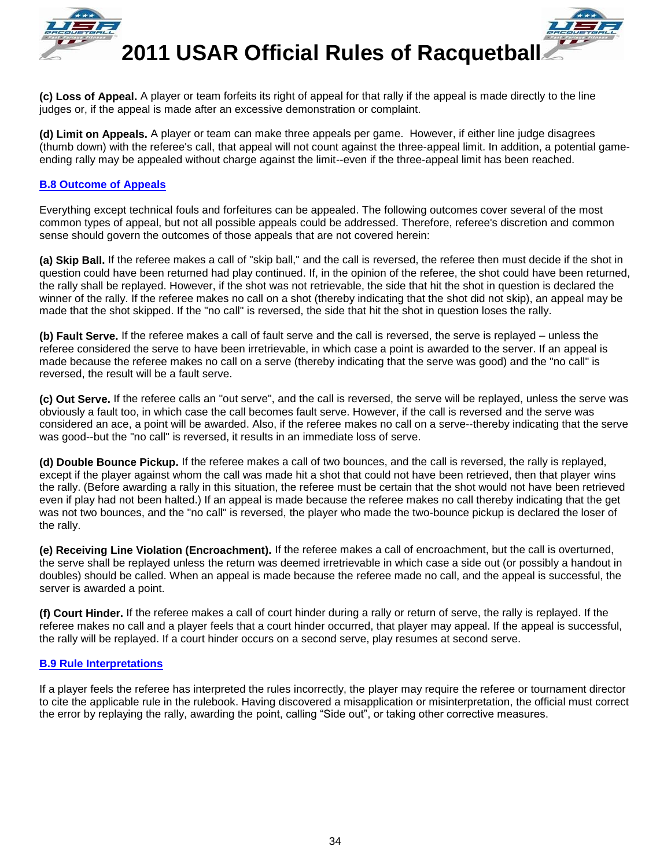

**(c) Loss of Appeal.** A player or team forfeits its right of appeal for that rally if the appeal is made directly to the line judges or, if the appeal is made after an excessive demonstration or complaint.

**(d) Limit on Appeals.** A player or team can make three appeals per game. However, if either line judge disagrees (thumb down) with the referee's call, that appeal will not count against the three-appeal limit. In addition, a potential gameending rally may be appealed without charge against the limit--even if the three-appeal limit has been reached.

# <span id="page-33-0"></span>**[B.8 Outcome](#page-2-19) of Appeals**

Everything except technical fouls and forfeitures can be appealed. The following outcomes cover several of the most common types of appeal, but not all possible appeals could be addressed. Therefore, referee's discretion and common sense should govern the outcomes of those appeals that are not covered herein:

**(a) Skip Ball.** If the referee makes a call of "skip ball," and the call is reversed, the referee then must decide if the shot in question could have been returned had play continued. If, in the opinion of the referee, the shot could have been returned, the rally shall be replayed. However, if the shot was not retrievable, the side that hit the shot in question is declared the winner of the rally. If the referee makes no call on a shot (thereby indicating that the shot did not skip), an appeal may be made that the shot skipped. If the "no call" is reversed, the side that hit the shot in question loses the rally.

**(b) Fault Serve.** If the referee makes a call of fault serve and the call is reversed, the serve is replayed – unless the referee considered the serve to have been irretrievable, in which case a point is awarded to the server. If an appeal is made because the referee makes no call on a serve (thereby indicating that the serve was good) and the "no call" is reversed, the result will be a fault serve.

**(c) Out Serve.** If the referee calls an "out serve", and the call is reversed, the serve will be replayed, unless the serve was obviously a fault too, in which case the call becomes fault serve. However, if the call is reversed and the serve was considered an ace, a point will be awarded. Also, if the referee makes no call on a serve--thereby indicating that the serve was good--but the "no call" is reversed, it results in an immediate loss of serve.

**(d) Double Bounce Pickup.** If the referee makes a call of two bounces, and the call is reversed, the rally is replayed, except if the player against whom the call was made hit a shot that could not have been retrieved, then that player wins the rally. (Before awarding a rally in this situation, the referee must be certain that the shot would not have been retrieved even if play had not been halted.) If an appeal is made because the referee makes no call thereby indicating that the get was not two bounces, and the "no call" is reversed, the player who made the two-bounce pickup is declared the loser of the rally.

**(e) Receiving Line Violation (Encroachment).** If the referee makes a call of encroachment, but the call is overturned, the serve shall be replayed unless the return was deemed irretrievable in which case a side out (or possibly a handout in doubles) should be called. When an appeal is made because the referee made no call, and the appeal is successful, the server is awarded a point.

**(f) Court Hinder.** If the referee makes a call of court hinder during a rally or return of serve, the rally is replayed. If the referee makes no call and a player feels that a court hinder occurred, that player may appeal. If the appeal is successful, the rally will be replayed. If a court hinder occurs on a second serve, play resumes at second serve.

# <span id="page-33-1"></span>**B.9 Rule [Interpretations](#page-2-20)**

If a player feels the referee has interpreted the rules incorrectly, the player may require the referee or tournament director to cite the applicable rule in the rulebook. Having discovered a misapplication or misinterpretation, the official must correct the error by replaying the rally, awarding the point, calling "Side out", or taking other corrective measures.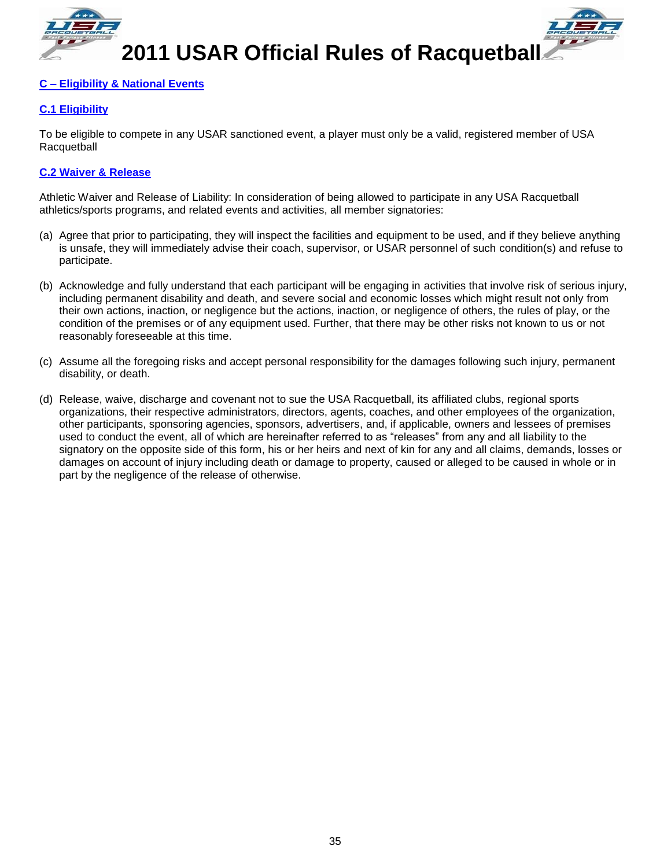

# <span id="page-34-0"></span>**C – [Eligibility & National Events](#page-2-21)**

# <span id="page-34-1"></span>**[C.1 Eligibility](#page-2-22)**

To be eligible to compete in any USAR sanctioned event, a player must only be a valid, registered member of USA **Racquetball** 

# <span id="page-34-2"></span>**[C.2 Waiver](#page-2-23) & Release**

Athletic Waiver and Release of Liability: In consideration of being allowed to participate in any USA Racquetball athletics/sports programs, and related events and activities, all member signatories:

- (a) Agree that prior to participating, they will inspect the facilities and equipment to be used, and if they believe anything is unsafe, they will immediately advise their coach, supervisor, or USAR personnel of such condition(s) and refuse to participate.
- (b) Acknowledge and fully understand that each participant will be engaging in activities that involve risk of serious injury, including permanent disability and death, and severe social and economic losses which might result not only from their own actions, inaction, or negligence but the actions, inaction, or negligence of others, the rules of play, or the condition of the premises or of any equipment used. Further, that there may be other risks not known to us or not reasonably foreseeable at this time.
- (c) Assume all the foregoing risks and accept personal responsibility for the damages following such injury, permanent disability, or death.
- (d) Release, waive, discharge and covenant not to sue the USA Racquetball, its affiliated clubs, regional sports organizations, their respective administrators, directors, agents, coaches, and other employees of the organization, other participants, sponsoring agencies, sponsors, advertisers, and, if applicable, owners and lessees of premises used to conduct the event, all of which are hereinafter referred to as "releases" from any and all liability to the signatory on the opposite side of this form, his or her heirs and next of kin for any and all claims, demands, losses or damages on account of injury including death or damage to property, caused or alleged to be caused in whole or in part by the negligence of the release of otherwise.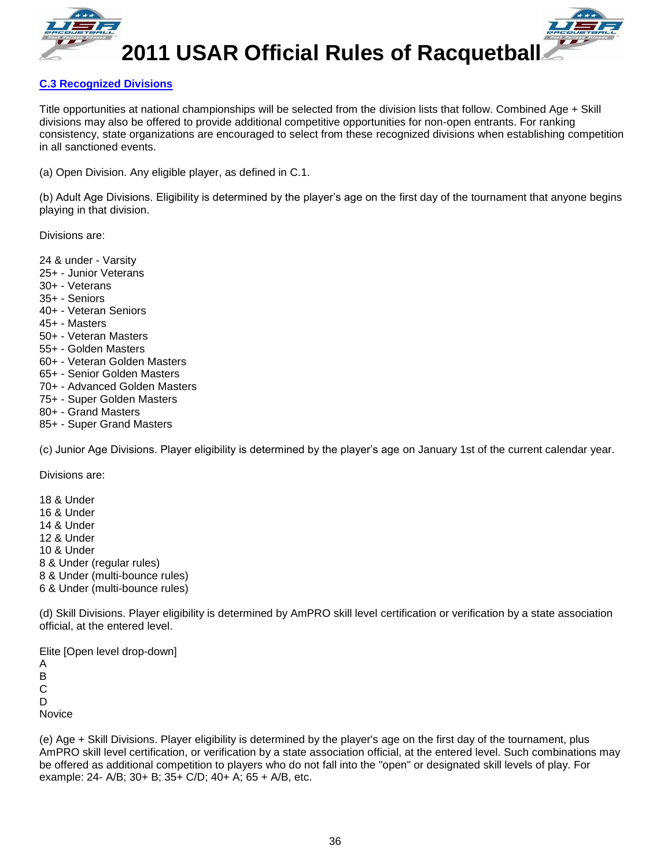

# <span id="page-35-0"></span>**[C.3 Recognized](#page-2-24) Divisions**

Title opportunities at national championships will be selected from the division lists that follow. Combined Age + Skill divisions may also be offered to provide additional competitive opportunities for non-open entrants. For ranking consistency, state organizations are encouraged to select from these recognized divisions when establishing competition in all sanctioned events.

(a) Open Division. Any eligible player, as defined in C.1.

(b) Adult Age Divisions. Eligibility is determined by the player"s age on the first day of the tournament that anyone begins playing in that division.

Divisions are:

- 24 & under Varsity 25+ - Junior Veterans 30+ - Veterans 35+ - Seniors 40+ - Veteran Seniors 45+ - Masters 50+ - Veteran Masters 55+ - Golden Masters 60+ - Veteran Golden Masters 65+ - Senior Golden Masters 70+ - Advanced Golden Masters 75+ - Super Golden Masters 80+ - Grand Masters
- 85+ Super Grand Masters

(c) Junior Age Divisions. Player eligibility is determined by the player"s age on January 1st of the current calendar year.

Divisions are:

18 & Under 16 & Under 14 & Under 12 & Under 10 & Under 8 & Under (regular rules) 8 & Under (multi-bounce rules) 6 & Under (multi-bounce rules)

(d) Skill Divisions. Player eligibility is determined by AmPRO skill level certification or verification by a state association official, at the entered level.

Elite [Open level drop-down] A B C D Novice

(e) Age + Skill Divisions. Player eligibility is determined by the player's age on the first day of the tournament, plus AmPRO skill level certification, or verification by a state association official, at the entered level. Such combinations may be offered as additional competition to players who do not fall into the "open" or designated skill levels of play. For example: 24- A/B; 30+ B; 35+ C/D; 40+ A; 65 + A/B, etc.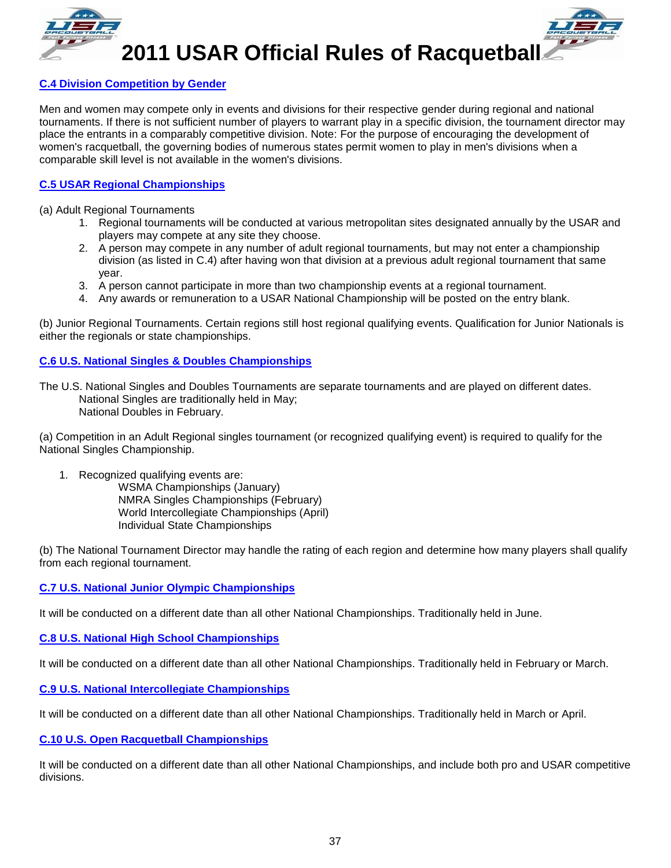**2011 USAR Official Rules of Racquetball**

# <span id="page-36-0"></span>**[C.4 Division Competition](#page-2-25) by Gender**

Men and women may compete only in events and divisions for their respective gender during regional and national tournaments. If there is not sufficient number of players to warrant play in a specific division, the tournament director may place the entrants in a comparably competitive division. Note: For the purpose of encouraging the development of women's racquetball, the governing bodies of numerous states permit women to play in men's divisions when a comparable skill level is not available in the women's divisions.

# <span id="page-36-1"></span>**[C.5 USAR Regional](#page-2-26) Championships**

(a) Adult Regional Tournaments

- 1. Regional tournaments will be conducted at various metropolitan sites designated annually by the USAR and players may compete at any site they choose.
- 2. A person may compete in any number of adult regional tournaments, but may not enter a championship division (as listed in C.4) after having won that division at a previous adult regional tournament that same year.
- 3. A person cannot participate in more than two championship events at a regional tournament.
- 4. Any awards or remuneration to a USAR National Championship will be posted on the entry blank.

(b) Junior Regional Tournaments. Certain regions still host regional qualifying events. Qualification for Junior Nationals is either the regionals or state championships.

# <span id="page-36-2"></span>**[C.6 U.S. National](#page-2-27) Singles & Doubles Championships**

The U.S. National Singles and Doubles Tournaments are separate tournaments and are played on different dates. National Singles are traditionally held in May; National Doubles in February.

(a) Competition in an Adult Regional singles tournament (or recognized qualifying event) is required to qualify for the National Singles Championship.

1. Recognized qualifying events are:

WSMA Championships (January) NMRA Singles Championships (February) World Intercollegiate Championships (April) Individual State Championships

(b) The National Tournament Director may handle the rating of each region and determine how many players shall qualify from each regional tournament.

# <span id="page-36-3"></span>**[C.7 U.S. National](#page-2-28) Junior Olympic Championships**

It will be conducted on a different date than all other National Championships. Traditionally held in June.

# <span id="page-36-4"></span>**[C.8 U.S. National](#page-2-29) High School Championships**

It will be conducted on a different date than all other National Championships. Traditionally held in February or March.

# <span id="page-36-5"></span>**[C.9 U.S. National](#page-2-30) Intercollegiate Championships**

It will be conducted on a different date than all other National Championships. Traditionally held in March or April.

# <span id="page-36-6"></span>**C.10 U.S. Open Racquetball [Championships](#page-2-31)**

It will be conducted on a different date than all other National Championships, and include both pro and USAR competitive divisions.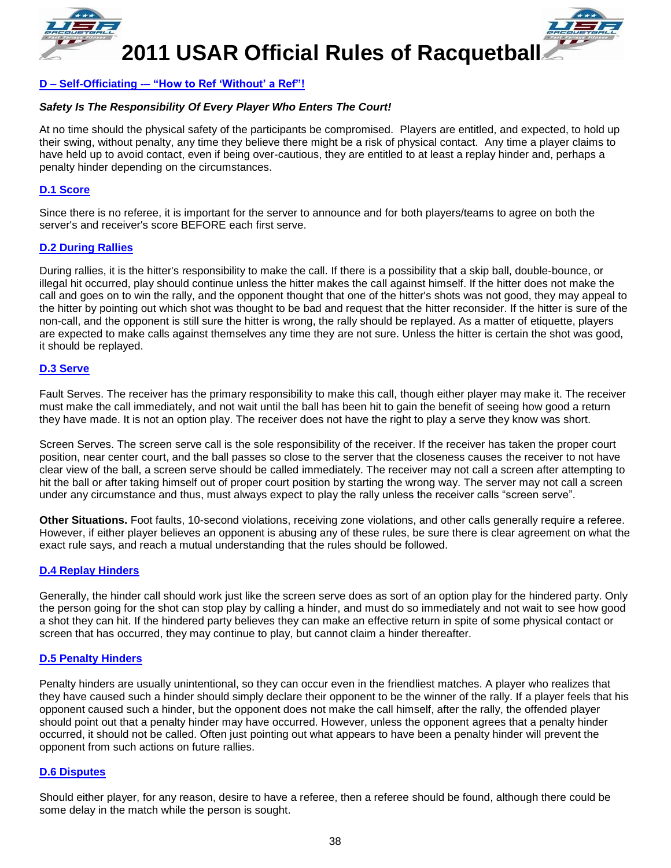

# <span id="page-37-0"></span>**D – Self-Officiating -– ["How to Ref "Without"](#page-2-32) a Ref"!**

# *Safety Is The Responsibility Of Every Player Who Enters The Court!*

At no time should the physical safety of the participants be compromised. Players are entitled, and expected, to hold up their swing, without penalty, any time they believe there might be a risk of physical contact. Any time a player claims to have held up to avoid contact, even if being over-cautious, they are entitled to at least a replay hinder and, perhaps a penalty hinder depending on the circumstances.

# <span id="page-37-1"></span>**[D.1 Score](#page-2-33)**

Since there is no referee, it is important for the server to announce and for both players/teams to agree on both the server's and receiver's score BEFORE each first serve.

# <span id="page-37-2"></span>**[D.2 During Rallies](#page-2-34)**

During rallies, it is the hitter's responsibility to make the call. If there is a possibility that a skip ball, double-bounce, or illegal hit occurred, play should continue unless the hitter makes the call against himself. If the hitter does not make the call and goes on to win the rally, and the opponent thought that one of the hitter's shots was not good, they may appeal to the hitter by pointing out which shot was thought to be bad and request that the hitter reconsider. If the hitter is sure of the non-call, and the opponent is still sure the hitter is wrong, the rally should be replayed. As a matter of etiquette, players are expected to make calls against themselves any time they are not sure. Unless the hitter is certain the shot was good, it should be replayed.

# <span id="page-37-3"></span>**[D.3 Serve](#page-2-35)**

Fault Serves. The receiver has the primary responsibility to make this call, though either player may make it. The receiver must make the call immediately, and not wait until the ball has been hit to gain the benefit of seeing how good a return they have made. It is not an option play. The receiver does not have the right to play a serve they know was short.

Screen Serves. The screen serve call is the sole responsibility of the receiver. If the receiver has taken the proper court position, near center court, and the ball passes so close to the server that the closeness causes the receiver to not have clear view of the ball, a screen serve should be called immediately. The receiver may not call a screen after attempting to hit the ball or after taking himself out of proper court position by starting the wrong way. The server may not call a screen under any circumstance and thus, must always expect to play the rally unless the receiver calls "screen serve".

**Other Situations.** Foot faults, 10-second violations, receiving zone violations, and other calls generally require a referee. However, if either player believes an opponent is abusing any of these rules, be sure there is clear agreement on what the exact rule says, and reach a mutual understanding that the rules should be followed.

#### <span id="page-37-4"></span>**[D.4 Replay Hinders](#page-2-36)**

Generally, the hinder call should work just like the screen serve does as sort of an option play for the hindered party. Only the person going for the shot can stop play by calling a hinder, and must do so immediately and not wait to see how good a shot they can hit. If the hindered party believes they can make an effective return in spite of some physical contact or screen that has occurred, they may continue to play, but cannot claim a hinder thereafter.

#### <span id="page-37-5"></span>**[D.5 Penalty Hinders](#page-2-37)**

Penalty hinders are usually unintentional, so they can occur even in the friendliest matches. A player who realizes that they have caused such a hinder should simply declare their opponent to be the winner of the rally. If a player feels that his opponent caused such a hinder, but the opponent does not make the call himself, after the rally, the offended player should point out that a penalty hinder may have occurred. However, unless the opponent agrees that a penalty hinder occurred, it should not be called. Often just pointing out what appears to have been a penalty hinder will prevent the opponent from such actions on future rallies.

#### <span id="page-37-6"></span>**[D.6 Disputes](#page-2-38)**

Should either player, for any reason, desire to have a referee, then a referee should be found, although there could be some delay in the match while the person is sought.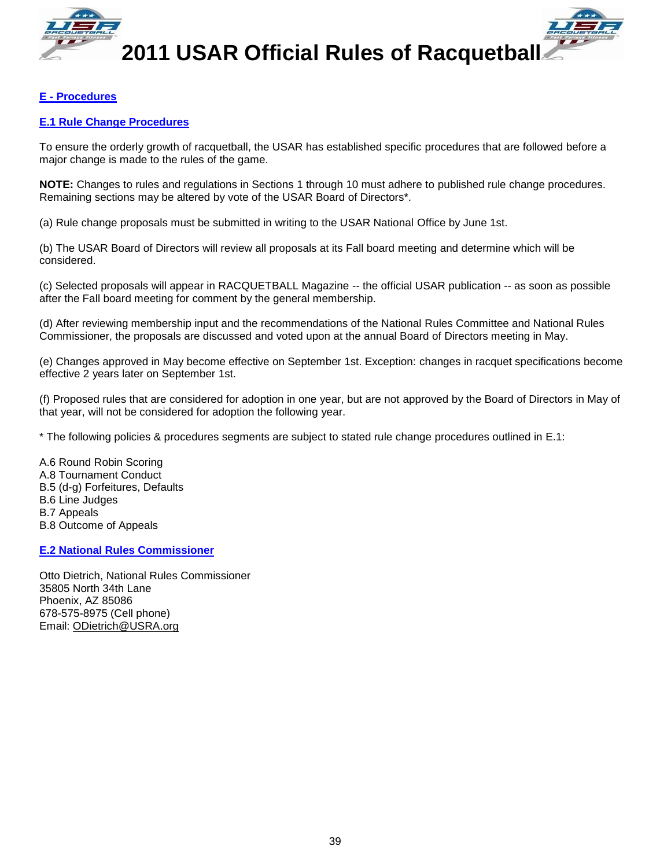

# <span id="page-38-0"></span>**E - [Procedures](#page-2-39)**

# <span id="page-38-1"></span>**E.1 Rule Change [Procedures](#page-2-40)**

To ensure the orderly growth of racquetball, the USAR has established specific procedures that are followed before a major change is made to the rules of the game.

**NOTE:** Changes to rules and regulations in Sections 1 through 10 must adhere to published rule change procedures. Remaining sections may be altered by vote of the USAR Board of Directors\*.

(a) Rule change proposals must be submitted in writing to the USAR National Office by June 1st.

(b) The USAR Board of Directors will review all proposals at its Fall board meeting and determine which will be considered.

(c) Selected proposals will appear in RACQUETBALL Magazine -- the official USAR publication -- as soon as possible after the Fall board meeting for comment by the general membership.

(d) After reviewing membership input and the recommendations of the National Rules Committee and National Rules Commissioner, the proposals are discussed and voted upon at the annual Board of Directors meeting in May.

(e) Changes approved in May become effective on September 1st. Exception: changes in racquet specifications become effective 2 years later on September 1st.

(f) Proposed rules that are considered for adoption in one year, but are not approved by the Board of Directors in May of that year, will not be considered for adoption the following year.

\* The following policies & procedures segments are subject to stated rule change procedures outlined in E.1:

A.6 Round Robin Scoring A.8 Tournament Conduct B.5 (d-g) Forfeitures, Defaults B.6 Line Judges B.7 Appeals B.8 Outcome of Appeals

<span id="page-38-2"></span>**E.2 National Rules [Commissioner](#page-2-41)**

Otto Dietrich, National Rules Commissioner 35805 North 34th Lane Phoenix, AZ 85086 678-575-8975 (Cell phone) Email: [ODietrich@USRA.org](mailto:ODietrich@USRA.org)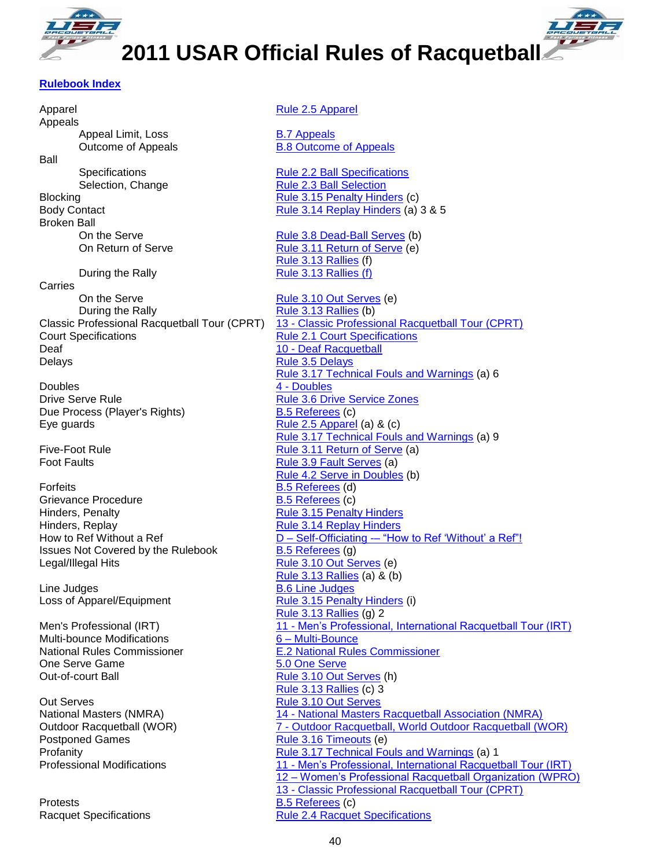**2011 USAR Official Rules of Racquetball**

# <span id="page-39-0"></span>**[Rulebook](#page-2-42) Index**

Apparel **Apparel [Rule 2.5](#page-7-0) Apparel** Appeals Appeal Limit, Loss [B.7 Appeals](#page-32-1) Outcome of Appeals [B.8 Outcome of Appeals](#page-33-0) Ball Specifications **[Rule 2.2 Ball Specifications](#page-6-0)** Selection, Change [Rule 2.3 Ball Selection](#page-6-1) Blocking Rule 3.15 [Penalty Hinders](#page-15-0) (c) Body Contact Rule 3.14 [Replay Hinders](#page-14-0) (a) 3 & 5 Broken Ball<br>On the Serve On the Serve **Rule 3.8 [Dead-Ball Serves](#page-9-2)** (b)<br>
On Return of Serve **Rule 3.11 Return of Serve (e)** During the Rally **[Rule 3.13](#page-13-0) Rallies (f)** Rule 3.13 Rallies (f) **Carries** On the Serve **Rule 3.10 [Out Serves](#page-11-0)** (e) During the Rally **[Rule 3.13](#page-13-0) Rallies (b)** [Court Specifications](#page-4-1) **Rule 2.1 Court Specifications** Deaf Nacquetball New York 10 - [Deaf Racquetball](#page-23-6) Delays **Delays [Rule 3.5](#page-8-5) Delays** Doubles 4 - [Doubles](#page-18-0) Drive Serve Rule **Rule 3.6 [Drive Service Zones](#page-9-0)** Due Process (Player's Rights) B.5 [Referees](#page-31-5) (c) Eye guards **[Rule 2.5](#page-7-0) Apparel (a) & (c)** Five-Foot Rule **Rule 3.11 [Return of Serve](#page-12-0) (a)** Foot Faults **Rule 3.9 [Fault Serves](#page-10-0)** (a) Forfeits **B.5 [Referees](#page-31-5)** (d) Grievance Procedure **B.5 [Referees](#page-31-5)** (c) Hinders, Penalty **Rule 3.15 [Penalty Hinders](#page-15-0)** Hinders, Replay<br>
How to Ref Without a Ref **Exercise 2.14 [Replay Hinders](#page-14-0)**<br>
D – Self-Officiating -- "How Issues Not Covered by the Rulebook Legal/Illegal Hits **Rule 3.10 [Out Serves](#page-11-0) (e)** [Line Judges](#page-32-0) B.6 Line Judges Loss of Apparel/Equipment Rule 3.15 [Penalty Hinders](#page-15-0) (i) Multi-bounce Modifications 6 – [Multi-Bounce](#page-19-1) [National Rules Commissioner](#page-38-2)<br>
One Serve Game<br>
<u>5.0 One Serve</u><br>
1997 - Some Serve [One Serve](#page-19-0) Game Out-of-court Ball Rule 3.10 [Out Serves](#page-11-0) (h) [Out Serves](#page-11-0) **Rule 3.10 Out Serves** Protests B.5 [Referees](#page-31-5) (c)

Rule 3.11 [Return of Serve](#page-12-0) (e) [Rule 3.13](#page-13-0) Rallies (f)

Classic Professional Racquetball Tour (CPRT) 13 - [Classic Professional Racquetball Tour \(CPRT\)](#page-27-0) Rule 3.17 [Technical Fouls and Warnings](#page-17-0) (a) 6 Rule 3.17 [Technical Fouls and Warnings](#page-17-0) (a) 9 Rule 4.2 [Serve in Doubles](#page-18-2) (b) D – Self-Officiating -– "How to Ref 'Without' a Ref"!<br>B.5 Referees (g) [Rule 3.13](#page-13-0) Rallies (a) & (b) Rule 3.13 [Rallies](#page-13-0) (g) 2 Men's Professional (IRT) 11 - [Men"s Professional, International Racquetball Tour \(IRT\)](#page-24-0) [Rule 3.13](#page-13-0) Rallies (c) 3 National Masters (NMRA) 14 - [National Masters Racquetball Association \(NMRA\)](#page-28-0) Outdoor Racquetball (WOR) <br>
Postponed Games<br>
Postponed Games<br>

Rule 3.16 Timeouts (e) [Rule 3.16](#page-16-0) Timeouts (e) Profanity<br>
Professional Modifications<br>
Then's Professional, International Racquet<br>
Then's Professional, International Racquet 11 - Men's Professional, International Racquetball Tour (IRT) 12 – [Women"s Professional Racquetball Organization \(WPRO\)](#page-26-0) 13 - [Classic Professional Racquetball Tour \(CPRT\)](#page-27-0) Racquet Specifications **[Rule 2.4 Racquet Specifications](#page-6-2)**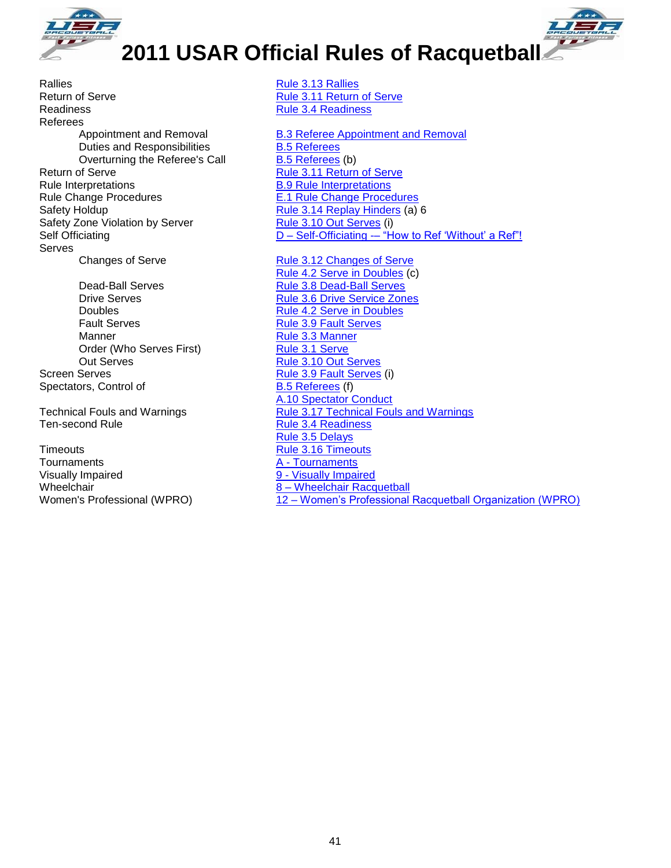

Rallies<br>
Return of Serve<br>
Rule 3.11 Return<br>
Rule 3.11 Return [Readiness](#page-8-4) Readiness Rule 3.4 Readiness Referees Duties and Responsibilities Overturning the Referee's Call B.5 [Referees](#page-31-5) (b) [Return of Serve](#page-12-0) **Rule 3.11 Return of Serve** [Rule Interpretations](#page-33-1) and B.9 Rule Interpretations [Rule Change Procedures](#page-38-1) **E.1 Rule Change Procedures** Safety Holdup<br>
Safety Zone Violation by Server<br>
Rule 3.10 Out Serves (i)<br>
Rule 3.10 Out Serves (i) Safety Zone Violation by Server<br>Self Officiating Serves [Changes of Serve](#page-12-1) **Rule 3.12 Changes of Serve** [Dead-Ball Serves](#page-9-2) Rule 3.8 Dead-Ball Serves Drive Serves **Rule 3.6 [Drive Service Zones](#page-9-0)** 

[Fault Serves](#page-10-0) **Rule 3.9 Fault Serves** Manner Manner [Rule 3.3](#page-8-3) Manner Order (Who Serves First) [Rule 3.1](#page-8-1) Serve [Out Serves](#page-11-0) **Rule 3.10 Out Serves** Screen Serves<br>
Spectators, Control of B.5 Referees (f)<br>
B.5 Referees (f) Spectators, Control of

Ten-second Rule **Rule 3.4 [Readiness](#page-8-4)** 

Timeouts **[Rule 3.16](#page-16-0) Timeouts** [Tournaments](#page-29-0) **A** - Tournaments Visually Impaired 9 - [Visually Impaired](#page-23-1) Wheelchair 8 – [Wheelchair Racquetball](#page-22-0)

Rule 3.11 [Return of Serve](#page-12-0)

Appointment and Removal<br>
Duties and Responsibilities<br>
B.5 Referees<br>
B.5 Referees D – Self-Officiating -- "How to Ref 'Without' a Ref"!

Rule 4.2 [Serve in Doubles](#page-18-2) (c) Doubles **Rule 4.2 [Serve in Doubles](#page-18-2)** A.10 [Spectator Conduct](#page-30-4) [Technical Fouls and Warnings](#page-17-0) **Rule 3.17 Technical Fouls and Warnings** Rule 3.5 [Delays](#page-8-5) Women's Professional (WPRO) 12 – [Women"s Professional Racquetball Organization \(WPRO\)](#page-26-0)